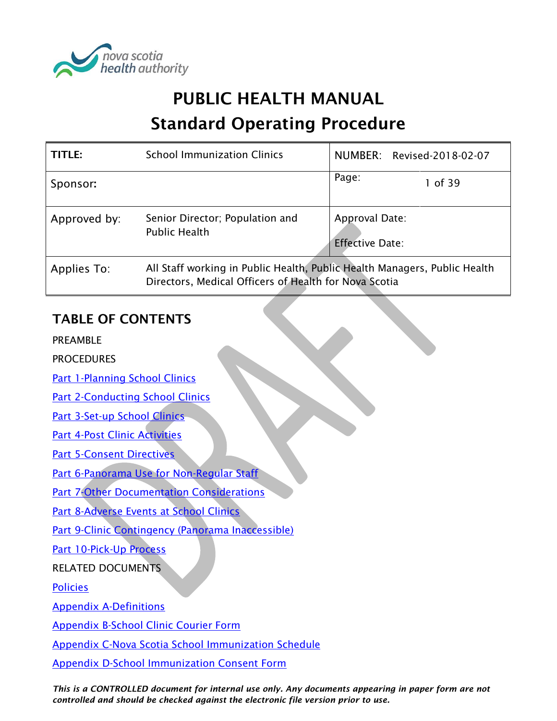

# PUBLIC HEALTH MANUAL

# Standard Operating Procedure

| TITLE:       | <b>School Immunization Clinics</b>                                                                                                 |                                          | NUMBER: Revised-2018-02-07 |
|--------------|------------------------------------------------------------------------------------------------------------------------------------|------------------------------------------|----------------------------|
| Sponsor:     |                                                                                                                                    | Page:                                    | 1 of 39                    |
| Approved by: | Senior Director; Population and<br><b>Public Health</b>                                                                            | Approval Date:<br><b>Effective Date:</b> |                            |
| Applies To:  | All Staff working in Public Health, Public Health Managers, Public Health<br>Directors, Medical Officers of Health for Nova Scotia |                                          |                            |

# TABLE OF CONTENTS

PREAMBLE

**PROCEDURES** 

[Part 1-Planning School Clinics](#page-1-0)

**Part [2-Conducting School Clinics](#page-3-0)** 

[Part 3-Set-up School Clinics](#page-5-0)

[Part 4-Post Clinic Activities](#page-8-0)

[Part 5-Consent Directives](#page-9-0)

[Part 6-Panorama Use for Non-Regular Staff](#page-13-0)

**[Part 7-Other Documentation Considerations](#page-14-0)** 

[Part 8-Adverse Events at School Clinics](#page-17-0)

[Part 9-Clinic Contingency \(Panorama Inaccessible\)](#page-17-1)

[Part 10-Pick-Up Process](#page-19-0)

# RELATED DOCUMENTS

[Policies](#page-22-0)

[Appendix A-Definitions](#page-24-0)

[Appendix B-School Clinic Courier Form](#page-26-0)

[Appendix C-Nova Scotia School Immunization Schedule](#page-27-0)

[Appendix D-School Immunization Consent Form](#page-28-0)

*This is a CONTROLLED document for internal use only. Any documents appearing in paper form are not controlled and should be checked against the electronic file version prior to use.*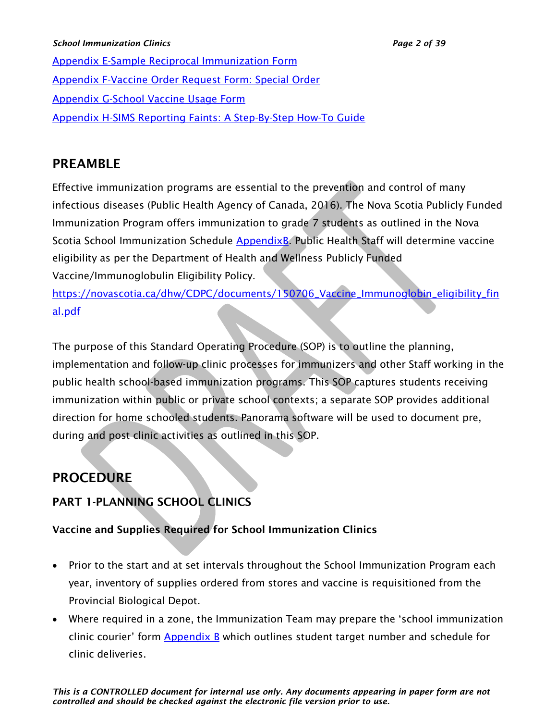#### *School Immunization Clinics Page 2 of 39*

[Appendix E-Sample Reciprocal Immunization Form](#page-29-0) [Appendix F-Vaccine Order Request Form: Special Order](#page-30-0) [Appendix G-School Vaccine Usage Form](#page-31-0) [Appendix H-SIMS Reporting Faints: A Step-By-Step How-To Guide](#page-32-0)

# PREAMBLE

Effective immunization programs are essential to the prevention and control of many infectious diseases (Public Health Agency of Canada, 2016). The Nova Scotia Publicly Funded Immunization Program offers immunization to grade 7 students as outlined in the Nova Scotia School Immunization Schedule [AppendixB.](#page-26-0) Public Health Staff will determine vaccine eligibility as per the Department of Health and Wellness Publicly Funded Vaccine/Immunoglobulin Eligibility Policy.

[https://novascotia.ca/dhw/CDPC/documents/150706\\_Vaccine\\_Immunoglobin\\_eligibility\\_fin](https://novascotia.ca/dhw/CDPC/documents/150706_Vaccine_Immunoglobin_eligibility_final.pdf) [al.pdf](https://novascotia.ca/dhw/CDPC/documents/150706_Vaccine_Immunoglobin_eligibility_final.pdf)

The purpose of this Standard Operating Procedure (SOP) is to outline the planning, implementation and follow-up clinic processes for immunizers and other Staff working in the public health school-based immunization programs. This SOP captures students receiving immunization within public or private school contexts; a separate SOP provides additional direction for home schooled students. Panorama software will be used to document pre, during and post clinic activities as outlined in this SOP.

# **PROCEDURE**

# <span id="page-1-0"></span>PART 1-PLANNING SCHOOL CLINICS

# Vaccine and Supplies Required for School Immunization Clinics

- Prior to the start and at set intervals throughout the School Immunization Program each year, inventory of supplies ordered from stores and vaccine is requisitioned from the Provincial Biological Depot.
- Where required in a zone, the Immunization Team may prepare the 'school immunization clinic courier' form [Appendix](#page-26-0) B which outlines student target number and schedule for clinic deliveries.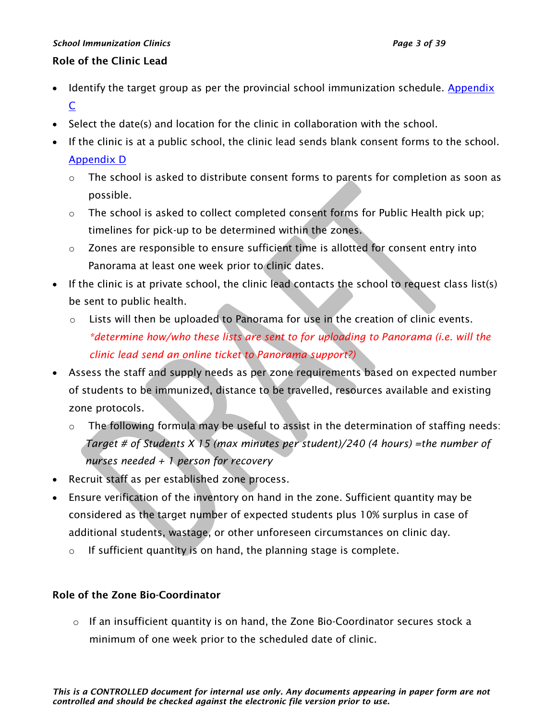#### Role of the Clinic Lead

- Identify the target group as per the provincial school immunization schedule. [Appendix](#page-27-0) [C](#page-27-0)
- Select the date(s) and location for the clinic in collaboration with the school.
- If the clinic is at a public school, the clinic lead sends blank consent forms to the school. [Appendix](#page-28-0) D
	- $\circ$  The school is asked to distribute consent forms to parents for completion as soon as possible.
	- $\circ$  The school is asked to collect completed consent forms for Public Health pick up; timelines for pick-up to be determined within the zones.
	- o Zones are responsible to ensure sufficient time is allotted for consent entry into Panorama at least one week prior to clinic dates.
- If the clinic is at private school, the clinic lead contacts the school to request class list(s) be sent to public health.
	- o Lists will then be uploaded to Panorama for use in the creation of clinic events. *\*determine how/who these lists are sent to for uploading to Panorama (i.e. will the clinic lead send an online ticket to Panorama support?)*
- Assess the staff and supply needs as per zone requirements based on expected number of students to be immunized, distance to be travelled, resources available and existing zone protocols.
	- $\circ$  The following formula may be useful to assist in the determination of staffing needs: *Target # of Students X 15 (max minutes per student)/240 (4 hours) =the number of nurses needed + 1 person for recovery*
- Recruit staff as per established zone process.
- Ensure verification of the inventory on hand in the zone. Sufficient quantity may be considered as the target number of expected students plus 10% surplus in case of additional students, wastage, or other unforeseen circumstances on clinic day.
	- o If sufficient quantity is on hand, the planning stage is complete.

### Role of the Zone Bio-Coordinator

 $\circ$  If an insufficient quantity is on hand, the Zone Bio-Coordinator secures stock a minimum of one week prior to the scheduled date of clinic.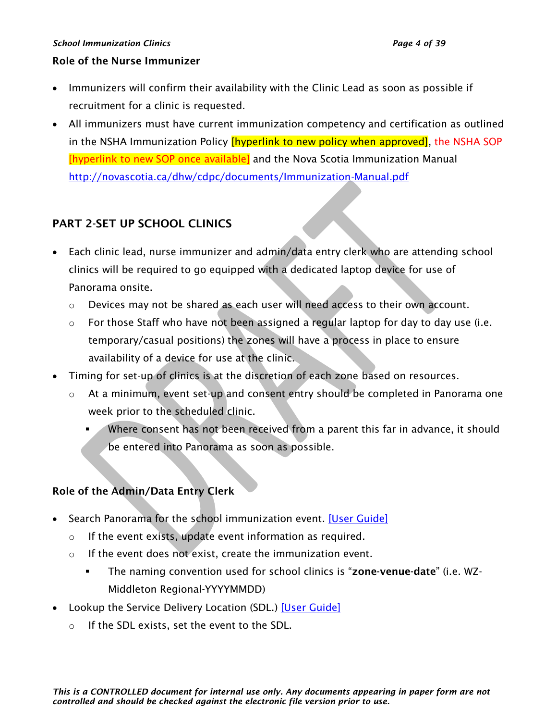#### *School Immunization Clinics Page 4 of 39*

#### Role of the Nurse Immunizer

- Immunizers will confirm their availability with the Clinic Lead as soon as possible if recruitment for a clinic is requested.
- All immunizers must have current immunization competency and certification as outlined in the NSHA Immunization Policy *[hyperlink to new policy when approved]*, the NSHA SOP [hyperlink to new SOP once available] and the Nova Scotia Immunization Manual <http://novascotia.ca/dhw/cdpc/documents/Immunization-Manual.pdf>

# <span id="page-3-0"></span>PART 2-SET UP SCHOOL CLINICS

- Each clinic lead, nurse immunizer and admin/data entry clerk who are attending school clinics will be required to go equipped with a dedicated laptop device for use of Panorama onsite.
	- o Devices may not be shared as each user will need access to their own account.
	- o For those Staff who have not been assigned a regular laptop for day to day use (i.e. temporary/casual positions) the zones will have a process in place to ensure availability of a device for use at the clinic.
- Timing for set-up of clinics is at the discretion of each zone based on resources.
	- o At a minimum, event set-up and consent entry should be completed in Panorama one week prior to the scheduled clinic.
		- Where consent has not been received from a parent this far in advance, it should be entered into Panorama as soon as possible.

# Role of the Admin/Data Entry Clerk

- Search Panorama for the school immunization event. [\[User Guide\]](https://support.novascotia.ca/sites/default/files/docs/immunization-user-guides/PNS%20User%20Guide%20IMM%20202%20-%20Mass%20Immunization%20Events.pdf)
	- o If the event exists, update event information as required.
	- o If the event does not exist, create the immunization event.
		- **The naming convention used for school clinics is "zone-venue-date"** (i.e. WZ-Middleton Regional-YYYYMMDD)
- Lookup the Service Delivery Location (SDL.) [\[User Guide\]](https://support.novascotia.ca/sites/default/files/docs/immunization-user-guides/PNS%20User%20Guide%20IMM%20202%20-%20Mass%20Immunization%20Events.pdf)
	- o If the SDL exists, set the event to the SDL.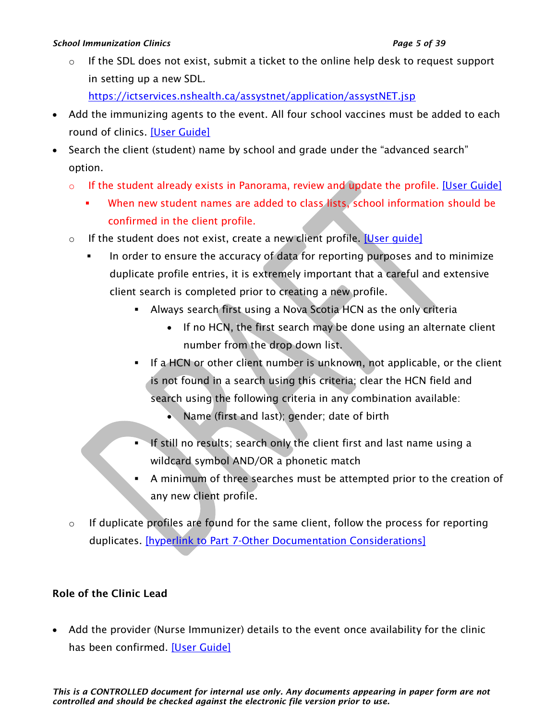#### *School Immunization Clinics Page 5 of 39*

 $\circ$  If the SDL does not exist, submit a ticket to the online help desk to request support in setting up a new SDL.

<https://ictservices.nshealth.ca/assystnet/application/assystNET.jsp>

- Add the immunizing agents to the event. All four school vaccines must be added to each round of clinics. [\[User Guide\]](https://support.novascotia.ca/sites/default/files/docs/immunization-user-guides/PNS%20User%20Guide%20IMM%20202%20-%20Mass%20Immunization%20Events.pdf)
- Search the client (student) name by school and grade under the "advanced search" option.
	- $\circ$  If the student already exists in Panorama, review and update the profile. [\[User Guide\]](https://support.novascotia.ca/sites/default/files/docs/immunization-user-guides/PNS%20User%20Guide%20IMM%20202%20-%20Mass%20Immunization%20Events.pdf)
		- When new student names are added to class lists, school information should be confirmed in the client profile.
	- o If the student does not exist, create a new client profile. [User quide]
		- In order to ensure the accuracy of data for reporting purposes and to minimize duplicate profile entries, it is extremely important that a careful and extensive client search is completed prior to creating a new profile.
			- **EXED Always search first using a Nova Scotia HCN as the only criteria** 
				- If no HCN, the first search may be done using an alternate client number from the drop down list.
			- **.** If a HCN or other client number is unknown, not applicable, or the client is not found in a search using this criteria; clear the HCN field and search using the following criteria in any combination available:
				- Name (first and last); gender; date of birth
			- **If still no results; search only the client first and last name using a** wildcard symbol AND/OR a phonetic match
			- A minimum of three searches must be attempted prior to the creation of any new client profile.
	- $\circ$  If duplicate profiles are found for the same client, follow the process for reporting duplicates. [\[hyperlink to Part 7-Other Documentation Considerations\]](#page-14-0)

# Role of the Clinic Lead

• Add the provider (Nurse Immunizer) details to the event once availability for the clinic has been confirmed. [\[User Guide\]](https://support.novascotia.ca/sites/default/files/docs/immunization-user-guides/PNS%20User%20Guide%20IMM%20202%20-%20Mass%20Immunization%20Events.pdf)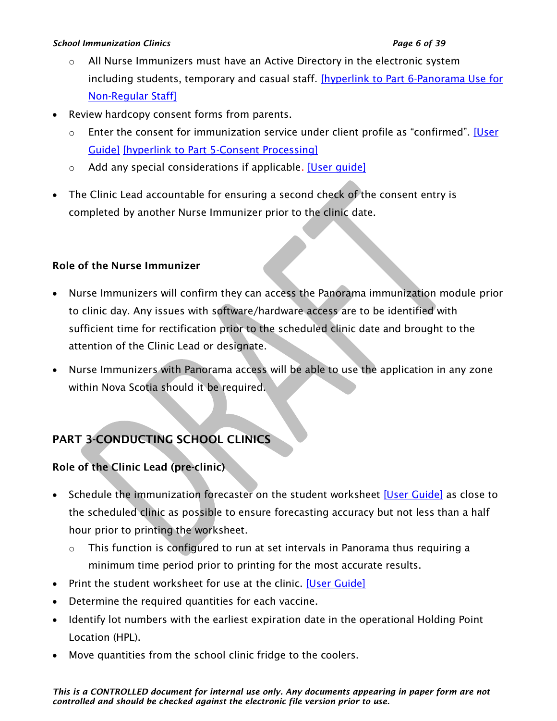#### *School Immunization Clinics Page 6 of 39*

- o All Nurse Immunizers must have an Active Directory in the electronic system including students, temporary and casual staff. [\[hyperlink to Part 6-Panorama Use for](#page-13-0)  [Non-Regular Staff\]](#page-13-0)
- Review hardcopy consent forms from parents.
	- $\circ$  Enter the consent for immunization service under client profile as "confirmed". [User [Guide\]](https://support.novascotia.ca/sites/default/files/docs/immunization-user-guides/PNS%20User%20Guide%20IMM%20202%20-%20Mass%20Immunization%20Events.pdf) [hyperlink to [Part 5-Consent Processing\]](#page-9-0)
	- o Add any special considerations if applicable. [\[User guide\]](https://support.novascotia.ca/sites/default/files/docs/immunization-user-guides/PNS%20User%20Guide%20IMM%20101%20-%20Single%20Immunization.pdf)
- The Clinic Lead accountable for ensuring a second check of the consent entry is completed by another Nurse Immunizer prior to the clinic date.

### Role of the Nurse Immunizer

- Nurse Immunizers will confirm they can access the Panorama immunization module prior to clinic day. Any issues with software/hardware access are to be identified with sufficient time for rectification prior to the scheduled clinic date and brought to the attention of the Clinic Lead or designate.
- Nurse Immunizers with Panorama access will be able to use the application in any zone within Nova Scotia should it be required.

# <span id="page-5-0"></span>PART 3-CONDUCTING SCHOOL CLINICS

### Role of the Clinic Lead (pre-clinic)

- Schedule the immunization forecaster on the student worksheet [\[User Guide\]](https://support.novascotia.ca/sites/default/files/docs/immunization-user-guides/PNS%20User%20Guide%20IMM%20202%20-%20Mass%20Immunization%20Events.pdf) as close to the scheduled clinic as possible to ensure forecasting accuracy but not less than a half hour prior to printing the worksheet.
	- o This function is configured to run at set intervals in Panorama thus requiring a minimum time period prior to printing for the most accurate results.
- Print the student worksheet for use at the clinic. [\[User Guide\]](https://support.novascotia.ca/sites/default/files/docs/immunization-user-guides/PNS%20User%20Guide%20IMM%20202%20-%20Mass%20Immunization%20Events.pdf)
- Determine the required quantities for each vaccine.
- Identify lot numbers with the earliest expiration date in the operational Holding Point Location (HPL).
- Move quantities from the school clinic fridge to the coolers.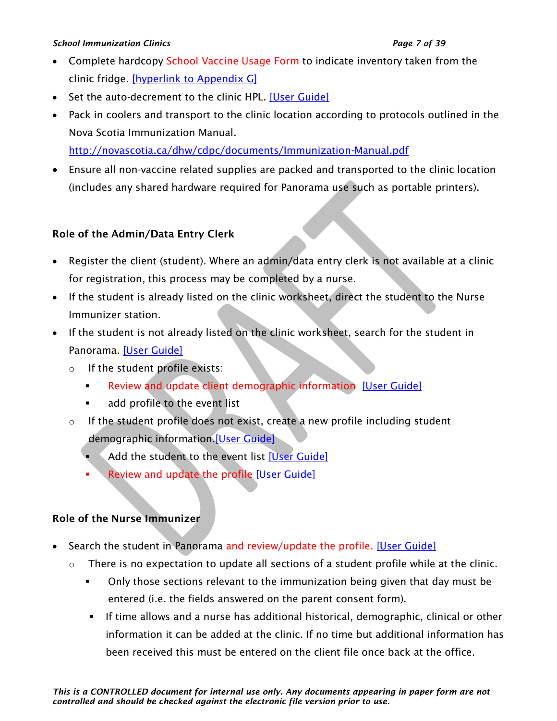#### *School Immunization Clinics Page 7 of 39*

- Complete hardcopy School Vaccine Usage Form to indicate inventory taken from the clinic fridge. [\[hyperlink to Appendix G\]](#page-31-0)
- Set the auto-decrement to the clinic HPL. [\[User Guide\]](https://support.novascotia.ca/sites/default/files/docs/immunization-user-guides/PNS%20User%20Guide%20IMM%20202%20-%20Mass%20Immunization%20Events.pdf)
- Pack in coolers and transport to the clinic location according to protocols outlined in the Nova Scotia Immunization Manual.

<http://novascotia.ca/dhw/cdpc/documents/Immunization-Manual.pdf>

• Ensure all non-vaccine related supplies are packed and transported to the clinic location (includes any shared hardware required for Panorama use such as portable printers).

# Role of the Admin/Data Entry Clerk

- Register the client (student). Where an admin/data entry clerk is not available at a clinic for registration, this process may be completed by a nurse.
- If the student is already listed on the clinic worksheet, direct the student to the Nurse Immunizer station.
- If the student is not already listed on the clinic worksheet, search for the student in Panorama. [\[User Guide\]](https://support.novascotia.ca/sites/default/files/docs/immunization-user-guides/PNS%20User%20Guide%20IMM%20202%20-%20Mass%20Immunization%20Events.pdf)
	- o If the student profile exists:
		- Review and update client demographic information [\[User Guide\]](https://support.novascotia.ca/sites/default/files/docs/immunization-user-guides/PNS%20User%20Guide%20CLT%20101%20-%20Basic%20Client%20Records%20Management.pdf)
		- add profile to the event list
	- o If the student profile does not exist, create a new profile including student demographic information[.\[User Guide\]](https://support.novascotia.ca/sites/default/files/docs/immunization-user-guides/PNS%20User%20Guide%20CLT%20101%20-%20Basic%20Client%20Records%20Management.pdf)
		- Add the student to the event list [\[User Guide\]](https://support.novascotia.ca/sites/default/files/docs/immunization-user-guides/PNS%20User%20Guide%20IMM%20202%20-%20Mass%20Immunization%20Events.pdf)
		- Review and update the profile [\[User Guide\]](https://support.novascotia.ca/sites/default/files/docs/immunization-user-guides/PNS%20User%20Guide%20CLT%20102-%20Advanced%20Client%20Records%20Management.pdf)

# Role of the Nurse Immunizer

- Search the student in Panorama and review/update the profile. [\[User Guide\]](https://support.novascotia.ca/sites/default/files/docs/immunization-user-guides/PNS%20User%20Guide%20IMM%20202%20-%20Mass%20Immunization%20Events.pdf)
	- $\circ$  There is no expectation to update all sections of a student profile while at the clinic.
		- Only those sections relevant to the immunization being given that day must be entered (i.e. the fields answered on the parent consent form).
		- **.** If time allows and a nurse has additional historical, demographic, clinical or other information it can be added at the clinic. If no time but additional information has been received this must be entered on the client file once back at the office.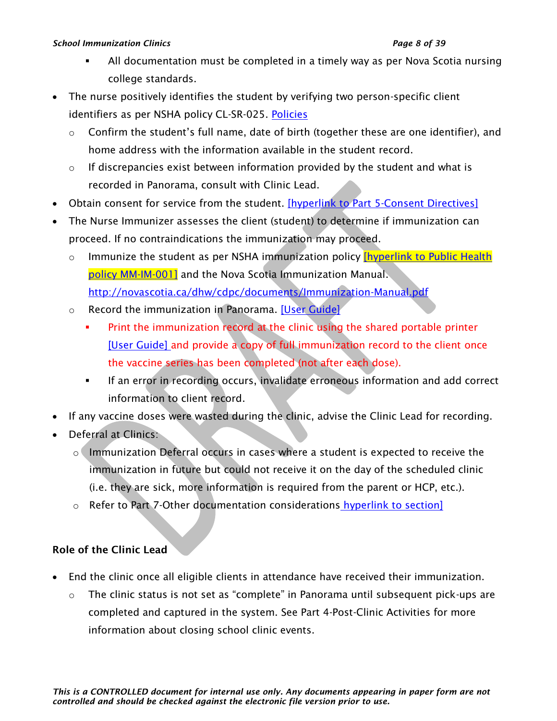#### *School Immunization Clinics Page 8 of 39*

- All documentation must be completed in a timely way as per Nova Scotia nursing college standards.
- The nurse positively identifies the student by verifying two person-specific client identifiers as per NSHA policy CL-SR-025. [Policies](#page-22-0)
	- $\circ$  Confirm the student's full name, date of birth (together these are one identifier), and home address with the information available in the student record.
	- $\circ$  If discrepancies exist between information provided by the student and what is recorded in Panorama, consult with Clinic Lead.
- Obtain consent for service from the student. [\[hyperlink to Part 5-Consent Directives\]](#page-9-0)
- The Nurse Immunizer assesses the client (student) to determine if immunization can proceed. If no contraindications the immunization may proceed.
	- $\circ$  Immunize the student as per NSHA immunization policy **[hyperlink to Public Health**] [policy MM-IM-001\]](#page-22-0) and the Nova Scotia Immunization Manual. <http://novascotia.ca/dhw/cdpc/documents/Immunization-Manual.pdf>
	- o Record the immunization in Panorama. [\[User Guide\]](https://support.novascotia.ca/sites/default/files/docs/immunization-user-guides/PNS%20User%20Guide%20IMM%20202%20-%20Mass%20Immunization%20Events.pdf)
		- Print the immunization record at the clinic using the shared portable printer [\[User Guide\]](https://support.novascotia.ca/sites/default/files/docs/immunization-user-guides/PNS%20User%20Guide%20IMM%20104%20-%20Immunization%20Reports.pdf) and provide a copy of full immunization record to the client once the vaccine series has been completed (not after each dose).
		- **■** If an error in recording occurs, invalidate erroneous information and add correct information to client record.
- If any vaccine doses were wasted during the clinic, advise the Clinic Lead for recording.
- Deferral at Clinics:
	- o Immunization Deferral occurs in cases where a student is expected to receive the immunization in future but could not receive it on the day of the scheduled clinic (i.e. they are sick, more information is required from the parent or HCP, etc.).
	- o Refer to Part 7-Other documentation considerations [hyperlink to section\]](#page-14-0)

# Role of the Clinic Lead

- End the clinic once all eligible clients in attendance have received their immunization.
	- o The clinic status is not set as "complete" in Panorama until subsequent pick-ups are completed and captured in the system. See Part 4-Post-Clinic Activities for more information about closing school clinic events.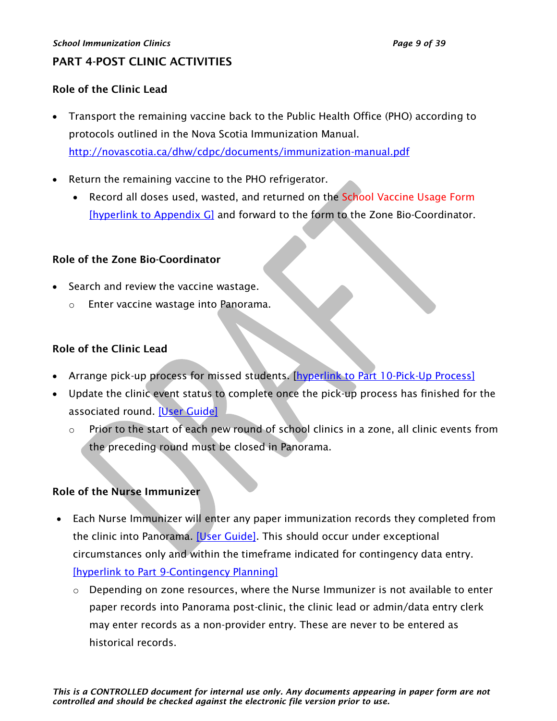# <span id="page-8-0"></span>PART 4-POST CLINIC ACTIVITIES

### Role of the Clinic Lead

- Transport the remaining vaccine back to the Public Health Office (PHO) according to protocols outlined in the Nova Scotia Immunization Manual. <http://novascotia.ca/dhw/cdpc/documents/immunization-manual.pdf>
- Return the remaining vaccine to the PHO refrigerator.
	- Record all doses used, wasted, and returned on the School Vaccine Usage Form [\[hyperlink to Appendix G\]](#page-31-0) and forward to the form to the Zone Bio-Coordinator.

### Role of the Zone Bio-Coordinator

- Search and review the vaccine wastage.
	- Enter vaccine wastage into Panorama.

# Role of the Clinic Lead

- Arrange pick-up process for missed students. [\[hyperlink to Part 10-Pick-Up Process\]](#page-19-0)
- Update the clinic event status to complete once the pick-up process has finished for the associated round. [\[User Guide\]](https://support.novascotia.ca/sites/default/files/docs/immunization-user-guides/PNS%20User%20Guide%20IMM%20202%20-%20Mass%20Immunization%20Events.pdf)
	- o Prior to the start of each new round of school clinics in a zone, all clinic events from the preceding round must be closed in Panorama.

### Role of the Nurse Immunizer

- Each Nurse Immunizer will enter any paper immunization records they completed from the clinic into Panorama. [\[User Guide\].](https://support.novascotia.ca/sites/default/files/docs/immunization-user-guides/PNS%20User%20Guide%20IMM%20202%20-%20Mass%20Immunization%20Events.pdf) This should occur under exceptional circumstances only and within the timeframe indicated for contingency data entry. [\[hyperlink to Part 9-Contingency Planning\]](#page-17-1)
	- $\circ$  Depending on zone resources, where the Nurse Immunizer is not available to enter paper records into Panorama post-clinic, the clinic lead or admin/data entry clerk may enter records as a non-provider entry. These are never to be entered as historical records.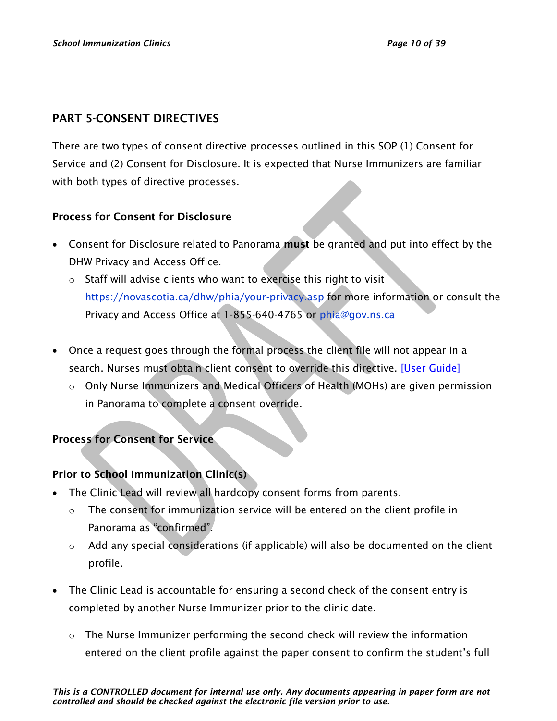## <span id="page-9-0"></span>PART 5-CONSENT DIRECTIVES

There are two types of consent directive processes outlined in this SOP (1) Consent for Service and (2) Consent for Disclosure. It is expected that Nurse Immunizers are familiar with both types of directive processes.

### Process for Consent for Disclosure

- Consent for Disclosure related to Panorama must be granted and put into effect by the DHW Privacy and Access Office.
	- o Staff will advise clients who want to exercise this right to visit <https://novascotia.ca/dhw/phia/your-privacy.asp> for more information or consult the Privacy and Access Office at 1-855-640-4765 or [phia@gov.ns.ca](mailto:phia@gov.ns.ca)
- Once a request goes through the formal process the client file will not appear in a search. Nurses must obtain client consent to override this directive. [\[User Guide\]](https://support.novascotia.ca/sites/default/files/docs/immunization-user-guides/PNS%20User%20Guide%20CLT%20102-%20Advanced%20Client%20Records%20Management.pdf)
	- o Only Nurse Immunizers and Medical Officers of Health (MOHs) are given permission in Panorama to complete a consent override.

### Process for Consent for Service

### Prior to School Immunization Clinic(s)

- The Clinic Lead will review all hardcopy consent forms from parents.
	- o The consent for immunization service will be entered on the client profile in Panorama as "confirmed".
	- o Add any special considerations (if applicable) will also be documented on the client profile.
- The Clinic Lead is accountable for ensuring a second check of the consent entry is completed by another Nurse Immunizer prior to the clinic date.
	- o The Nurse Immunizer performing the second check will review the information entered on the client profile against the paper consent to confirm the student's full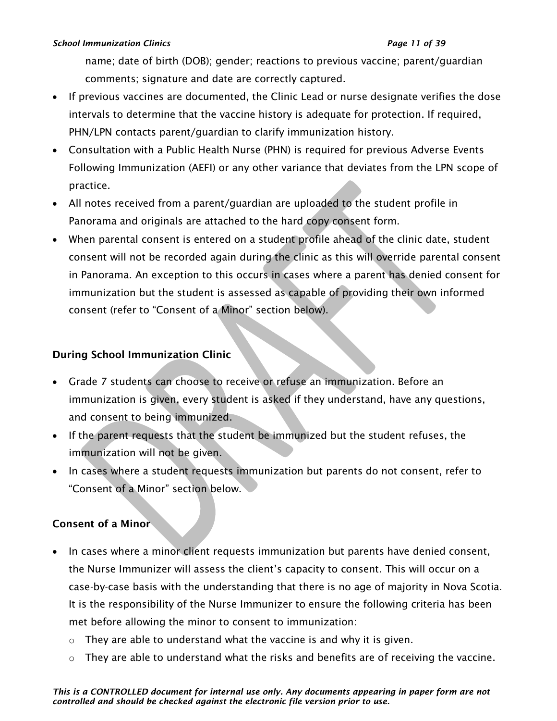#### *School Immunization Clinics Page 11 of 39*

name; date of birth (DOB); gender; reactions to previous vaccine; parent/guardian comments; signature and date are correctly captured.

- If previous vaccines are documented, the Clinic Lead or nurse designate verifies the dose intervals to determine that the vaccine history is adequate for protection. If required, PHN/LPN contacts parent/guardian to clarify immunization history.
- Consultation with a Public Health Nurse (PHN) is required for previous Adverse Events Following Immunization (AEFI) or any other variance that deviates from the LPN scope of practice.
- All notes received from a parent/guardian are uploaded to the student profile in Panorama and originals are attached to the hard copy consent form.
- When parental consent is entered on a student profile ahead of the clinic date, student consent will not be recorded again during the clinic as this will override parental consent in Panorama. An exception to this occurs in cases where a parent has denied consent for immunization but the student is assessed as capable of providing their own informed consent (refer to "Consent of a Minor" section below).

# During School Immunization Clinic

- Grade 7 students can choose to receive or refuse an immunization. Before an immunization is given, every student is asked if they understand, have any questions, and consent to being immunized.
- If the parent requests that the student be immunized but the student refuses, the immunization will not be given.
- In cases where a student requests immunization but parents do not consent, refer to "Consent of a Minor" section below.

# Consent of a Minor

- In cases where a minor client requests immunization but parents have denied consent, the Nurse Immunizer will assess the client's capacity to consent. This will occur on a case-by-case basis with the understanding that there is no age of majority in Nova Scotia. It is the responsibility of the Nurse Immunizer to ensure the following criteria has been met before allowing the minor to consent to immunization:
	- $\circ$  They are able to understand what the vaccine is and why it is given.
	- $\circ$  They are able to understand what the risks and benefits are of receiving the vaccine.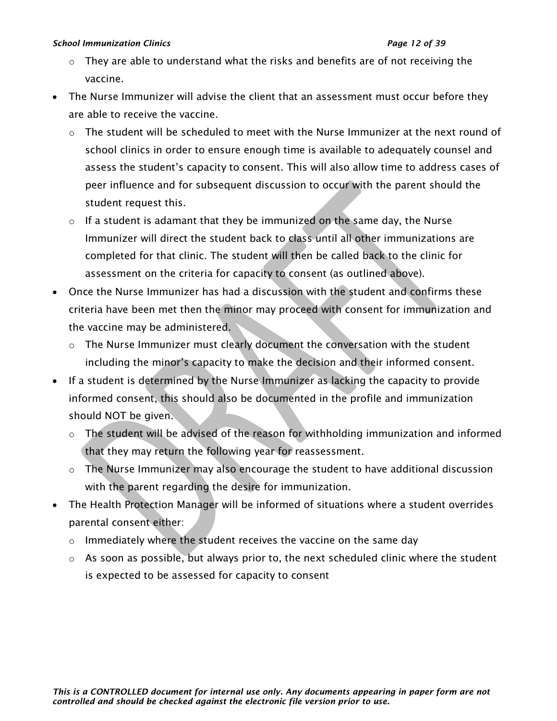#### *School Immunization Clinics Page 12 of 39*

- $\circ$  They are able to understand what the risks and benefits are of not receiving the vaccine.
- The Nurse Immunizer will advise the client that an assessment must occur before they are able to receive the vaccine.
	- $\circ$  The student will be scheduled to meet with the Nurse Immunizer at the next round of school clinics in order to ensure enough time is available to adequately counsel and assess the student's capacity to consent. This will also allow time to address cases of peer influence and for subsequent discussion to occur with the parent should the student request this.
	- o If a student is adamant that they be immunized on the same day, the Nurse Immunizer will direct the student back to class until all other immunizations are completed for that clinic. The student will then be called back to the clinic for assessment on the criteria for capacity to consent (as outlined above).
- Once the Nurse Immunizer has had a discussion with the student and confirms these criteria have been met then the minor may proceed with consent for immunization and the vaccine may be administered.
	- o The Nurse Immunizer must clearly document the conversation with the student including the minor's capacity to make the decision and their informed consent.
- If a student is determined by the Nurse Immunizer as lacking the capacity to provide informed consent, this should also be documented in the profile and immunization should NOT be given.
	- o The student will be advised of the reason for withholding immunization and informed that they may return the following year for reassessment.
	- o The Nurse Immunizer may also encourage the student to have additional discussion with the parent regarding the desire for immunization.
- The Health Protection Manager will be informed of situations where a student overrides parental consent either:
	- o Immediately where the student receives the vaccine on the same day
	- o As soon as possible, but always prior to, the next scheduled clinic where the student is expected to be assessed for capacity to consent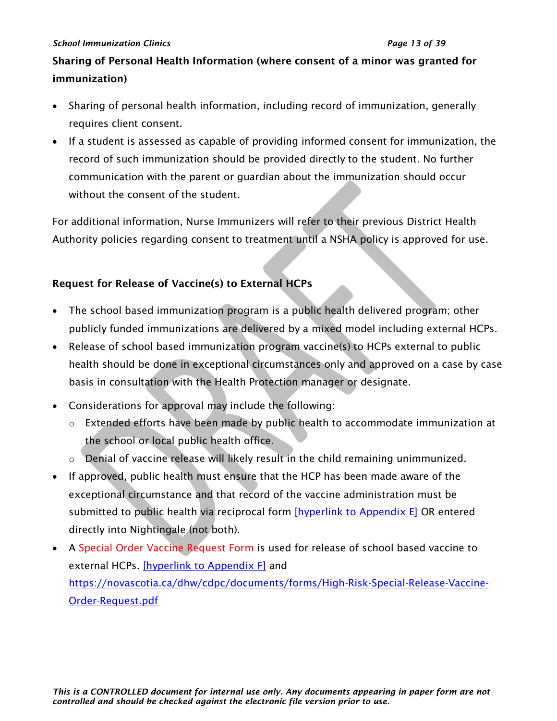#### *School Immunization Clinics Page 13 of 39*

# Sharing of Personal Health Information (where consent of a minor was granted for immunization)

- Sharing of personal health information, including record of immunization, generally requires client consent.
- If a student is assessed as capable of providing informed consent for immunization, the record of such immunization should be provided directly to the student. No further communication with the parent or guardian about the immunization should occur without the consent of the student.

For additional information, Nurse Immunizers will refer to their previous District Health Authority policies regarding consent to treatment until a NSHA policy is approved for use.

# Request for Release of Vaccine(s) to External HCPs

- The school based immunization program is a public health delivered program; other publicly funded immunizations are delivered by a mixed model including external HCPs.
- Release of school based immunization program vaccine(s) to HCPs external to public health should be done in exceptional circumstances only and approved on a case by case basis in consultation with the Health Protection manager or designate.
- Considerations for approval may include the following:
	- o Extended efforts have been made by public health to accommodate immunization at the school or local public health office.
	- $\circ$  Denial of vaccine release will likely result in the child remaining unimmunized.
- If approved, public health must ensure that the HCP has been made aware of the exceptional circumstance and that record of the vaccine administration must be submitted to public health via reciprocal form [\[hyperlink to Appendix E\]](#page-29-0) OR entered directly into Nightingale (not both).
- A Special Order Vaccine Request Form is used for release of school based vaccine to external HCPs. [\[hyperlink to Appendix F\]](#page-30-0) and [https://novascotia.ca/dhw/cdpc/documents/forms/High-Risk-Special-Release-Vaccine-](https://novascotia.ca/dhw/cdpc/documents/forms/High-Risk-Special-Release-Vaccine-Order-Request.pdf)[Order-Request.pdf](https://novascotia.ca/dhw/cdpc/documents/forms/High-Risk-Special-Release-Vaccine-Order-Request.pdf)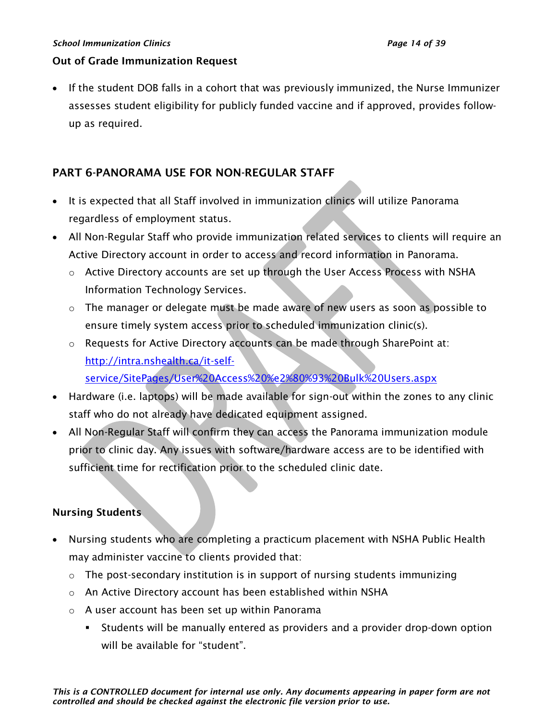#### *School Immunization Clinics Page 14 of 39*

#### Out of Grade Immunization Request

• If the student DOB falls in a cohort that was previously immunized, the Nurse Immunizer assesses student eligibility for publicly funded vaccine and if approved, provides followup as required.

# <span id="page-13-0"></span>PART 6-PANORAMA USE FOR NON-REGULAR STAFF

- It is expected that all Staff involved in immunization clinics will utilize Panorama regardless of employment status.
- All Non-Regular Staff who provide immunization related services to clients will require an Active Directory account in order to access and record information in Panorama.
	- o Active Directory accounts are set up through the User Access Process with NSHA Information Technology Services.
	- o The manager or delegate must be made aware of new users as soon as possible to ensure timely system access prior to scheduled immunization clinic(s).
	- o Requests for Active Directory accounts can be made through SharePoint at: [http://intra.nshealth.ca/it-self](http://intra.nshealth.ca/it-self-service/SitePages/User%20Access%20%e2%80%93%20Bulk%20Users.aspx)[service/SitePages/User%20Access%20%e2%80%93%20Bulk%20Users.aspx](http://intra.nshealth.ca/it-self-service/SitePages/User%20Access%20%e2%80%93%20Bulk%20Users.aspx)
- Hardware (i.e. laptops) will be made available for sign-out within the zones to any clinic staff who do not already have dedicated equipment assigned.
- All Non-Regular Staff will confirm they can access the Panorama immunization module prior to clinic day. Any issues with software/hardware access are to be identified with sufficient time for rectification prior to the scheduled clinic date.

### Nursing Students

- Nursing students who are completing a practicum placement with NSHA Public Health may administer vaccine to clients provided that:
	- $\circ$  The post-secondary institution is in support of nursing students immunizing
	- o An Active Directory account has been established within NSHA
	- o A user account has been set up within Panorama
		- **EXECT** Students will be manually entered as providers and a provider drop-down option will be available for "student".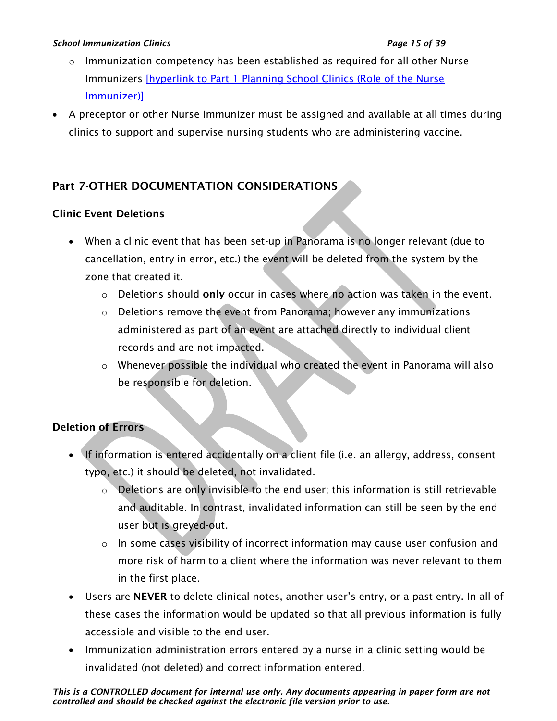#### *School Immunization Clinics Page 15 of 39*

- $\circ$  Immunization competency has been established as required for all other Nurse Immunizers [\[hyperlink to Part 1 Planning School Clinics \(Role of the Nurse](#page-1-0)  [Immunizer\)\]](#page-1-0)
- A preceptor or other Nurse Immunizer must be assigned and available at all times during clinics to support and supervise nursing students who are administering vaccine.

# <span id="page-14-0"></span>Part 7-OTHER DOCUMENTATION CONSIDERATIONS

# Clinic Event Deletions

- When a clinic event that has been set-up in Panorama is no longer relevant (due to cancellation, entry in error, etc.) the event will be deleted from the system by the zone that created it.
	- $\circ$  Deletions should only occur in cases where no action was taken in the event.
	- $\circ$  Deletions remove the event from Panorama; however any immunizations administered as part of an event are attached directly to individual client records and are not impacted.
	- o Whenever possible the individual who created the event in Panorama will also be responsible for deletion.

# Deletion of Errors

- If information is entered accidentally on a client file (i.e. an allergy, address, consent typo, etc.) it should be deleted, not invalidated.
	- o Deletions are only invisible to the end user; this information is still retrievable and auditable. In contrast, invalidated information can still be seen by the end user but is greyed-out.
	- $\circ$  In some cases visibility of incorrect information may cause user confusion and more risk of harm to a client where the information was never relevant to them in the first place.
- Users are NEVER to delete clinical notes, another user's entry, or a past entry. In all of these cases the information would be updated so that all previous information is fully accessible and visible to the end user.
- Immunization administration errors entered by a nurse in a clinic setting would be invalidated (not deleted) and correct information entered.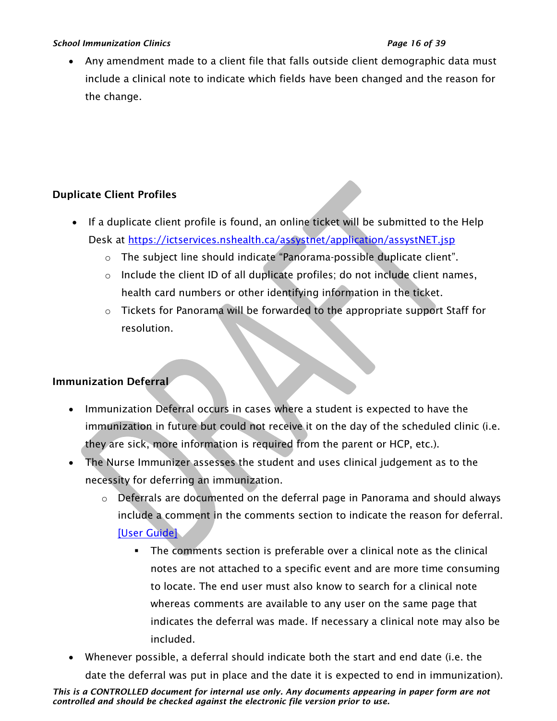#### *School Immunization Clinics Page 16 of 39*

• Any amendment made to a client file that falls outside client demographic data must include a clinical note to indicate which fields have been changed and the reason for the change.

# Duplicate Client Profiles

- If a duplicate client profile is found, an online ticket will be submitted to the Help Desk at<https://ictservices.nshealth.ca/assystnet/application/assystNET.jsp>
	- $\circ$  The subject line should indicate "Panorama-possible duplicate client".
	- o Include the client ID of all duplicate profiles; do not include client names, health card numbers or other identifying information in the ticket.
	- o Tickets for Panorama will be forwarded to the appropriate support Staff for resolution.

# Immunization Deferral

- Immunization Deferral occurs in cases where a student is expected to have the immunization in future but could not receive it on the day of the scheduled clinic (i.e. they are sick, more information is required from the parent or HCP, etc.).
- The Nurse Immunizer assesses the student and uses clinical judgement as to the necessity for deferring an immunization.
	- $\circ$  Deferrals are documented on the deferral page in Panorama and should always include a comment in the comments section to indicate the reason for deferral. [\[User Guide\]](https://support.novascotia.ca/sites/default/files/docs/immunization-user-guides/PNS%20User%20Guide%20IMM%20202%20-%20Mass%20Immunization%20Events.pdf)
		- The comments section is preferable over a clinical note as the clinical notes are not attached to a specific event and are more time consuming to locate. The end user must also know to search for a clinical note whereas comments are available to any user on the same page that indicates the deferral was made. If necessary a clinical note may also be included.
- Whenever possible, a deferral should indicate both the start and end date (i.e. the date the deferral was put in place and the date it is expected to end in immunization).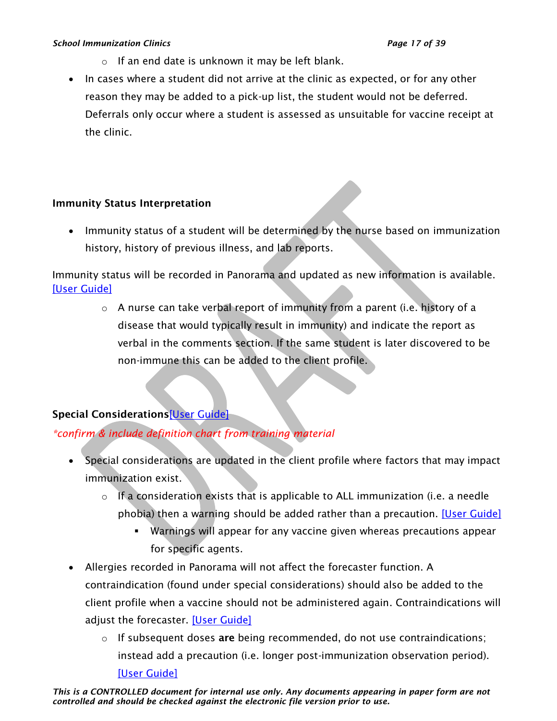#### *School Immunization Clinics Page 17 of 39*

- o If an end date is unknown it may be left blank.
- In cases where a student did not arrive at the clinic as expected, or for any other reason they may be added to a pick-up list, the student would not be deferred. Deferrals only occur where a student is assessed as unsuitable for vaccine receipt at the clinic.

# Immunity Status Interpretation

• Immunity status of a student will be determined by the nurse based on immunization history, history of previous illness, and lab reports.

Immunity status will be recorded in Panorama and updated as new information is available. [\[User Guide\]](https://support.novascotia.ca/sites/default/files/docs/immunization-user-guides/PNS%20User%20Guide%20IMM%20101%20-%20Single%20Immunization.pdf)

> o A nurse can take verbal report of immunity from a parent (i.e. history of a disease that would typically result in immunity) and indicate the report as verbal in the comments section. If the same student is later discovered to be non-immune this can be added to the client profile.

# Special Considerations[\[User Guide\]](https://support.novascotia.ca/sites/default/files/docs/immunization-user-guides/PNS%20User%20Guide%20IMM%20101%20-%20Single%20Immunization.pdf)

# *\*confirm & include definition chart from training material*

- Special considerations are updated in the client profile where factors that may impact immunization exist.
	- o If a consideration exists that is applicable to ALL immunization (i.e. a needle phobia) then a warning should be added rather than a precaution. [\[User Guide\]](https://support.novascotia.ca/sites/default/files/docs/immunization-user-guides/PNS%20User%20Guide%20CLT%20102-%20Advanced%20Client%20Records%20Management.pdf)
		- Warnings will appear for any vaccine given whereas precautions appear for specific agents.
- Allergies recorded in Panorama will not affect the forecaster function. A contraindication (found under special considerations) should also be added to the client profile when a vaccine should not be administered again. Contraindications will adjust the forecaster. [\[User Guide\]](https://support.novascotia.ca/sites/default/files/docs/immunization-user-guides/PNS%20User%20Guide%20IMM%20101%20-%20Single%20Immunization.pdf)
	- $\circ$  If subsequent doses are being recommended, do not use contraindications; instead add a precaution (i.e. longer post-immunization observation period). [\[User Guide\]](https://support.novascotia.ca/sites/default/files/docs/immunization-user-guides/PNS%20User%20Guide%20CLT%20102-%20Advanced%20Client%20Records%20Management.pdf)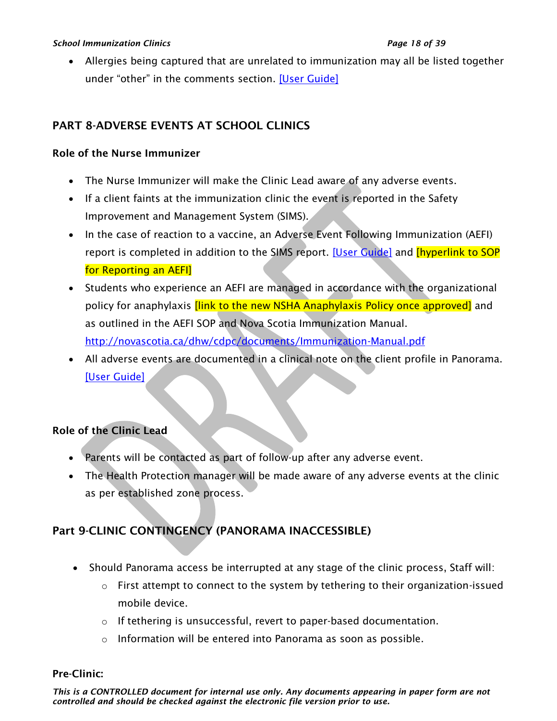• Allergies being captured that are unrelated to immunization may all be listed together under "other" in the comments section. [\[User Guide\]](https://support.novascotia.ca/sites/default/files/docs/immunization-user-guides/PNS%20User%20Guide%20CLT%20102-%20Advanced%20Client%20Records%20Management.pdf)

# <span id="page-17-0"></span>PART 8-ADVERSE EVENTS AT SCHOOL CLINICS

# Role of the Nurse Immunizer

- The Nurse Immunizer will make the Clinic Lead aware of any adverse events.
- If a client faints at the immunization clinic the event is reported in the Safety Improvement and Management System (SIMS).
- In the case of reaction to a vaccine, an Adverse Event Following Immunization (AEFI) report is completed in addition to the SIMS report. [\[User Guide\]](https://support.novascotia.ca/sites/default/files/docs/immunization-user-guides/PNS%20User%20Guide%20IMM%20101%20-%20Single%20Immunization.pdf) and [hyperlink to SOP for Reporting an AEFI]
- Students who experience an AEFI are managed in accordance with the organizational policy for anaphylaxis *[link to the new NSHA Anaphylaxis Policy once approved]* and as outlined in the AEFI SOP and Nova Scotia Immunization Manual. <http://novascotia.ca/dhw/cdpc/documents/Immunization-Manual.pdf>
- All adverse events are documented in a clinical note on the client profile in Panorama. [\[User Guide\]](https://support.novascotia.ca/sites/default/files/docs/immunization-user-guides/PNS%20User%20Guide%20CLT%20102-%20Advanced%20Client%20Records%20Management.pdf)

# Role of the Clinic Lead

- Parents will be contacted as part of follow-up after any adverse event.
- The Health Protection manager will be made aware of any adverse events at the clinic as per established zone process.

# <span id="page-17-1"></span>Part 9-CLINIC CONTINGENCY (PANORAMA INACCESSIBLE)

- Should Panorama access be interrupted at any stage of the clinic process, Staff will:
	- o First attempt to connect to the system by tethering to their organization-issued mobile device.
	- o If tethering is unsuccessful, revert to paper-based documentation.
	- o Information will be entered into Panorama as soon as possible.

# Pre-Clinic:

*This is a CONTROLLED document for internal use only. Any documents appearing in paper form are not controlled and should be checked against the electronic file version prior to use.*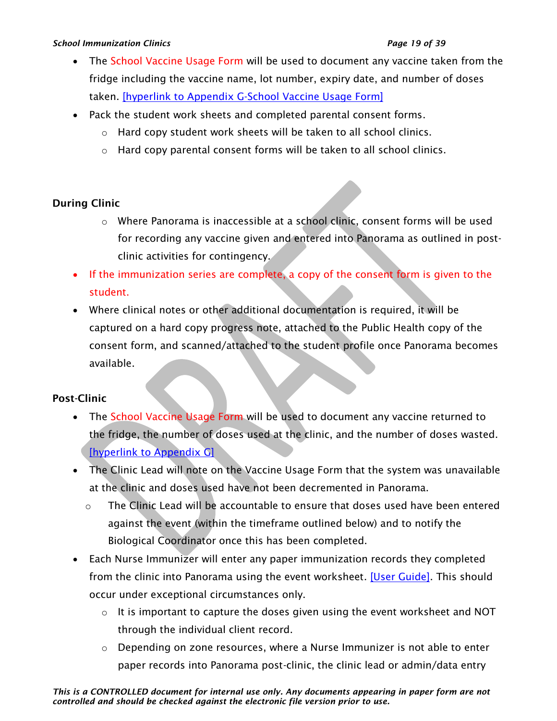#### *School Immunization Clinics Page 19 of 39*

- The School Vaccine Usage Form will be used to document any vaccine taken from the fridge including the vaccine name, lot number, expiry date, and number of doses taken. [\[hyperlink to Appendix G-School Vaccine Usage Form\]](#page-31-0)
- Pack the student work sheets and completed parental consent forms.
	- o Hard copy student work sheets will be taken to all school clinics.
	- o Hard copy parental consent forms will be taken to all school clinics.

# During Clinic

- o Where Panorama is inaccessible at a school clinic, consent forms will be used for recording any vaccine given and entered into Panorama as outlined in postclinic activities for contingency.
- If the immunization series are complete, a copy of the consent form is given to the student.
- Where clinical notes or other additional documentation is required, it will be captured on a hard copy progress note, attached to the Public Health copy of the consent form, and scanned/attached to the student profile once Panorama becomes available.

# Post-Clinic

- The School Vaccine Usage Form will be used to document any vaccine returned to the fridge, the number of doses used at the clinic, and the number of doses wasted. [\[hyperlink to Appendix G\]](#page-31-0)
- The Clinic Lead will note on the Vaccine Usage Form that the system was unavailable at the clinic and doses used have not been decremented in Panorama.
	- o The Clinic Lead will be accountable to ensure that doses used have been entered against the event (within the timeframe outlined below) and to notify the Biological Coordinator once this has been completed.
- Each Nurse Immunizer will enter any paper immunization records they completed from the clinic into Panorama using the event worksheet. [\[User Guide\].](https://support.novascotia.ca/sites/default/files/docs/immunization-user-guides/PNS%20User%20Guide%20IMM%20202%20-%20Mass%20Immunization%20Events.pdf) This should occur under exceptional circumstances only.
	- $\circ$  It is important to capture the doses given using the event worksheet and NOT through the individual client record.
	- $\circ$  Depending on zone resources, where a Nurse Immunizer is not able to enter paper records into Panorama post-clinic, the clinic lead or admin/data entry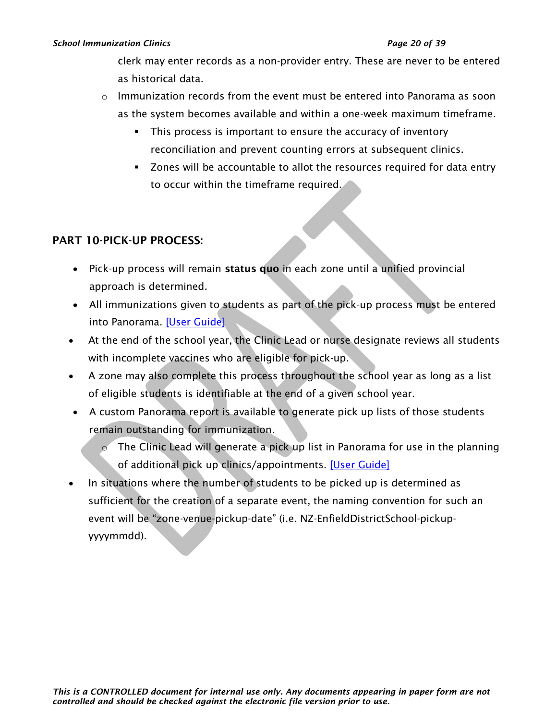#### *School Immunization Clinics Page 20 of 39*

clerk may enter records as a non-provider entry. These are never to be entered as historical data.

- $\circ$  Immunization records from the event must be entered into Panorama as soon as the system becomes available and within a one-week maximum timeframe.
	- **•** This process is important to ensure the accuracy of inventory reconciliation and prevent counting errors at subsequent clinics.
	- Zones will be accountable to allot the resources required for data entry to occur within the timeframe required.

# <span id="page-19-0"></span>PART 10-PICK-UP PROCESS:

- Pick-up process will remain status quo in each zone until a unified provincial approach is determined.
- All immunizations given to students as part of the pick-up process must be entered into Panorama. [\[User Guide\]](https://support.novascotia.ca/sites/default/files/docs/immunization-user-guides/PNS%20User%20Guide%20IMM%20202%20-%20Mass%20Immunization%20Events.pdf)
- At the end of the school year, the Clinic Lead or nurse designate reviews all students with incomplete vaccines who are eligible for pick-up.
- A zone may also complete this process throughout the school year as long as a list of eligible students is identifiable at the end of a given school year.
- A custom Panorama report is available to generate pick up lists of those students remain outstanding for immunization.
	- $\circ$  The Clinic Lead will generate a pick up list in Panorama for use in the planning of additional pick up clinics/appointments. [\[User Guide\]](https://support.novascotia.ca/sites/default/files/docs/immunization-user-guides/PNS%20User%20Guide%20IMM%20104%20-%20Immunization%20Reports.pdf)
- In situations where the number of students to be picked up is determined as sufficient for the creation of a separate event, the naming convention for such an event will be "zone-venue-pickup-date" (i.e. NZ-EnfieldDistrictSchool-pickupyyyymmdd).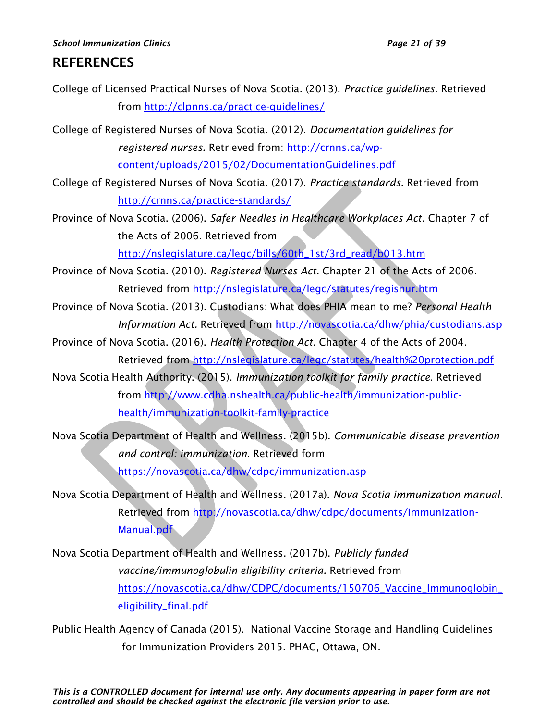#### *School Immunization Clinics Page 21 of 39*

# REFERENCES

College of Licensed Practical Nurses of Nova Scotia. (2013). *Practice guidelines.* Retrieved from<http://clpnns.ca/practice-guidelines/>

College of Registered Nurses of Nova Scotia. (2012). *Documentation guidelines for registered nurses.* Retrieved from: [http://crnns.ca/wp](http://crnns.ca/wp-content/uploads/2015/02/DocumentationGuidelines.pdf)[content/uploads/2015/02/DocumentationGuidelines.pdf](http://crnns.ca/wp-content/uploads/2015/02/DocumentationGuidelines.pdf)

College of Registered Nurses of Nova Scotia. (2017). *Practice standards*. Retrieved from <http://crnns.ca/practice-standards/>

Province of Nova Scotia. (2006). *Safer Needles in Healthcare Workplaces Act*. Chapter 7 of the Acts of 2006. Retrieved from

[http://nslegislature.ca/legc/bills/60th\\_1st/3rd\\_read/b013.htm](http://nslegislature.ca/legc/bills/60th_1st/3rd_read/b013.htm)

- Province of Nova Scotia. (2010). *Registered Nurses Act.* Chapter 21 of the Acts of 2006. Retrieved from<http://nslegislature.ca/legc/statutes/regisnur.htm>
- Province of Nova Scotia. (2013). Custodians: What does PHIA mean to me? *Personal Health Information Act.* Retrieved from<http://novascotia.ca/dhw/phia/custodians.asp>
- Province of Nova Scotia. (2016). *Health Protection Act.* Chapter 4 of the Acts of 2004. Retrieved from<http://nslegislature.ca/legc/statutes/health%20protection.pdf>
- Nova Scotia Health Authority. (2015). *Immunization toolkit for family practice*. Retrieved from [http://www.cdha.nshealth.ca/public-health/immunization-public](http://www.cdha.nshealth.ca/public-health/immunization-public-health/immunization-toolkit-family-practice)[health/immunization-toolkit-family-practice](http://www.cdha.nshealth.ca/public-health/immunization-public-health/immunization-toolkit-family-practice)
- Nova Scotia Department of Health and Wellness. (2015b). *Communicable disease prevention and control: immunization.* Retrieved form <https://novascotia.ca/dhw/cdpc/immunization.asp>
- Nova Scotia Department of Health and Wellness. (2017a). *Nova Scotia immunization manual*. Retrieved from [http://novascotia.ca/dhw/cdpc/documents/Immunization-](http://novascotia.ca/dhw/cdpc/documents/Immunization-Manual.pdf)[Manual.pdf](http://novascotia.ca/dhw/cdpc/documents/Immunization-Manual.pdf)
- Nova Scotia Department of Health and Wellness. (2017b). *Publicly funded vaccine/immunoglobulin eligibility criteria.* Retrieved from [https://novascotia.ca/dhw/CDPC/documents/150706\\_Vaccine\\_Immunoglobin\\_](https://novascotia.ca/dhw/CDPC/documents/150706_Vaccine_Immunoglobin_eligibility_final.pdf) [eligibility\\_final.pdf](https://novascotia.ca/dhw/CDPC/documents/150706_Vaccine_Immunoglobin_eligibility_final.pdf)

Public Health Agency of Canada (2015). National Vaccine Storage and Handling Guidelines for Immunization Providers 2015. PHAC, Ottawa, ON.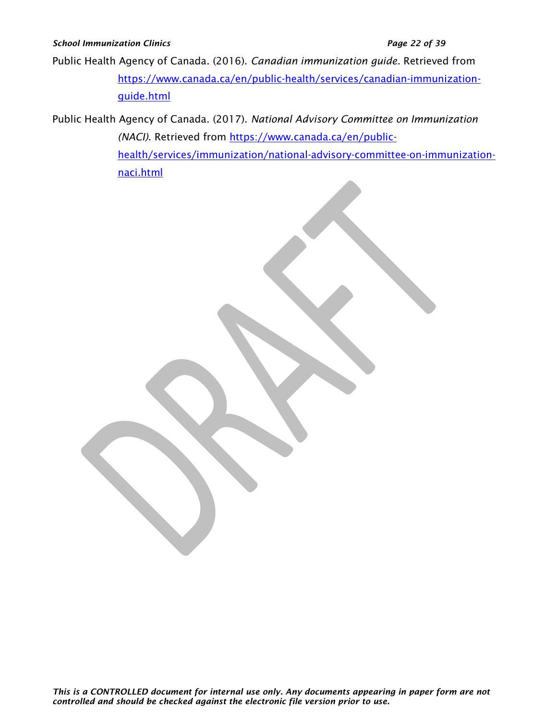#### *School Immunization Clinics Page 22 of 39*

Public Health Agency of Canada. (2016). *Canadian immunization guide.* Retrieved from [https://www.canada.ca/en/public-health/services/canadian-immunization](https://www.canada.ca/en/public-health/services/canadian-immunization-guide.html)[guide.html](https://www.canada.ca/en/public-health/services/canadian-immunization-guide.html)

Public Health Agency of Canada. (2017). *National Advisory Committee on Immunization (NACI)*. Retrieved from [https://www.canada.ca/en/public](https://www.canada.ca/en/public-health/services/immunization/national-advisory-committee-on-immunization-naci.html)[health/services/immunization/national-advisory-committee-on-immunization](https://www.canada.ca/en/public-health/services/immunization/national-advisory-committee-on-immunization-naci.html)[naci.html](https://www.canada.ca/en/public-health/services/immunization/national-advisory-committee-on-immunization-naci.html)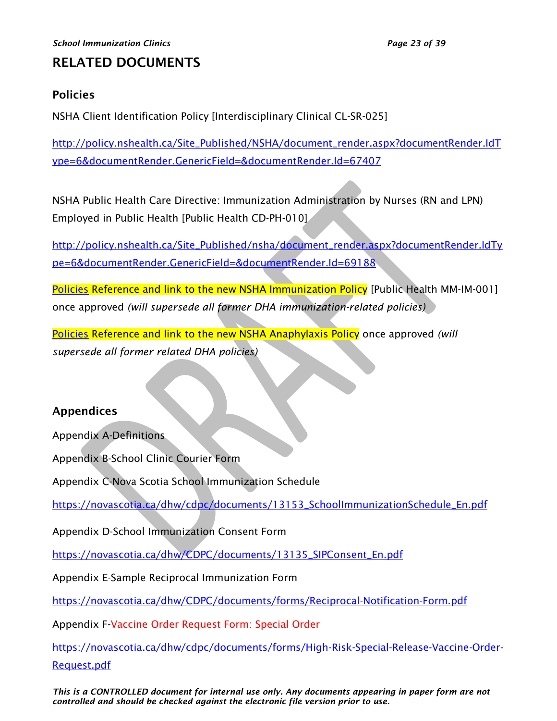# RELATED DOCUMENTS

# <span id="page-22-0"></span>Policies

NSHA Client Identification Policy [Interdisciplinary Clinical CL-SR-025]

[http://policy.nshealth.ca/Site\\_Published/NSHA/document\\_render.aspx?documentRender.IdT](http://policy.nshealth.ca/Site_Published/NSHA/document_render.aspx?documentRender.IdType=6&documentRender.GenericField=&documentRender.Id=67407) [ype=6&documentRender.GenericField=&documentRender.Id=67407](http://policy.nshealth.ca/Site_Published/NSHA/document_render.aspx?documentRender.IdType=6&documentRender.GenericField=&documentRender.Id=67407)

NSHA Public Health Care Directive: Immunization Administration by Nurses (RN and LPN) Employed in Public Health [Public Health CD-PH-010]

[http://policy.nshealth.ca/Site\\_Published/nsha/document\\_render.aspx?documentRender.IdTy](http://policy.nshealth.ca/Site_Published/nsha/document_render.aspx?documentRender.IdType=6&documentRender.GenericField=&documentRender.Id=69188) [pe=6&documentRender.GenericField=&documentRender.Id=69188](http://policy.nshealth.ca/Site_Published/nsha/document_render.aspx?documentRender.IdType=6&documentRender.GenericField=&documentRender.Id=69188)

[Policies](#page-22-0) Reference and link to the new NSHA Immunization Policy [Public Health MM-IM-001] once approved *(will supersede all former DHA immunization-related policies)*

[Policies](#page-22-0) Reference and link to the new NSHA Anaphylaxis Policy once approved *(will supersede all former related DHA policies)*

# Appendices

Appendix A-Definitions

Appendix B-School Clinic Courier Form

Appendix C-Nova Scotia School Immunization Schedule

[https://novascotia.ca/dhw/cdpc/documents/13153\\_SchoolImmunizationSchedule\\_En.pdf](https://novascotia.ca/dhw/cdpc/documents/13153_SchoolImmunizationSchedule_En.pdf)

Appendix D-School Immunization Consent Form

[https://novascotia.ca/dhw/CDPC/documents/13135\\_SIPConsent\\_En.pdf](https://novascotia.ca/dhw/CDPC/documents/13135_SIPConsent_En.pdf)

Appendix E-Sample Reciprocal Immunization Form

<https://novascotia.ca/dhw/CDPC/documents/forms/Reciprocal-Notification-Form.pdf>

Appendix F-Vaccine Order Request Form: Special Order

[https://novascotia.ca/dhw/cdpc/documents/forms/High-Risk-Special-Release-Vaccine-Order-](https://novascotia.ca/dhw/cdpc/documents/forms/High-Risk-Special-Release-Vaccine-Order-Request.pdf)[Request.pdf](https://novascotia.ca/dhw/cdpc/documents/forms/High-Risk-Special-Release-Vaccine-Order-Request.pdf)

*This is a CONTROLLED document for internal use only. Any documents appearing in paper form are not controlled and should be checked against the electronic file version prior to use.*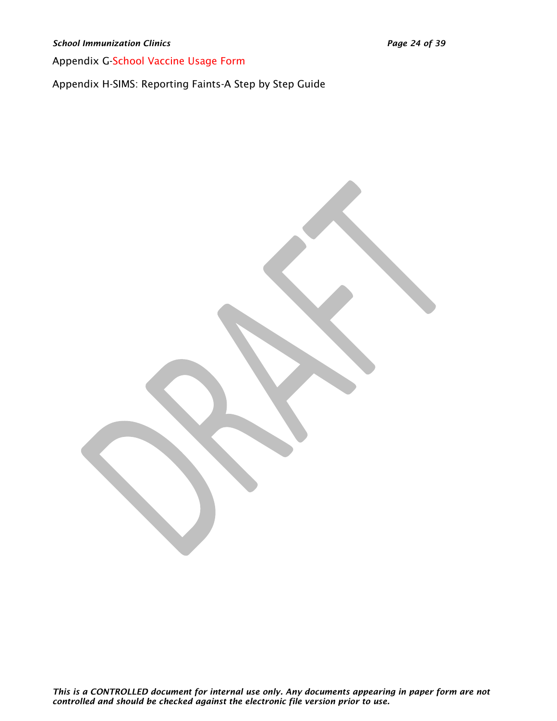*School Immunization Clinics Page 24 of 39*

Appendix G-School Vaccine Usage Form

Appendix H-SIMS: Reporting Faints-A Step by Step Guide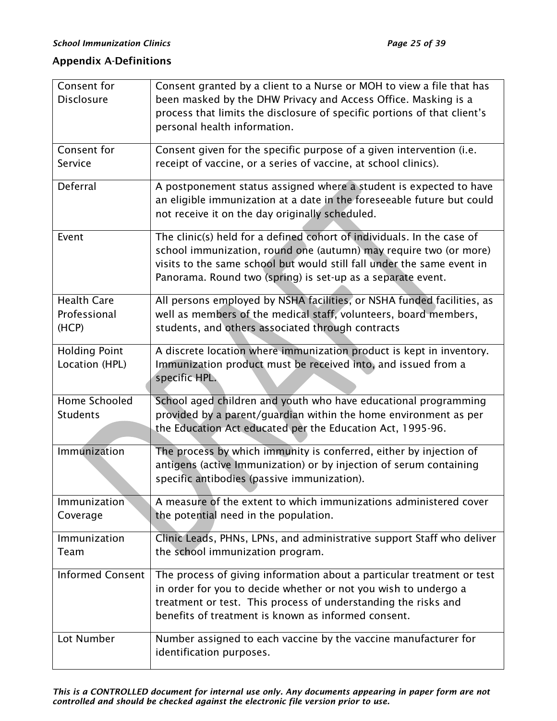# <span id="page-24-0"></span>Appendix A-Definitions

| Consent for             | Consent granted by a client to a Nurse or MOH to view a file that has                                                                       |
|-------------------------|---------------------------------------------------------------------------------------------------------------------------------------------|
| <b>Disclosure</b>       | been masked by the DHW Privacy and Access Office. Masking is a                                                                              |
|                         | process that limits the disclosure of specific portions of that client's                                                                    |
|                         | personal health information.                                                                                                                |
| Consent for             | Consent given for the specific purpose of a given intervention (i.e.                                                                        |
| Service                 | receipt of vaccine, or a series of vaccine, at school clinics).                                                                             |
| Deferral                | A postponement status assigned where a student is expected to have                                                                          |
|                         | an eligible immunization at a date in the foreseeable future but could                                                                      |
|                         | not receive it on the day originally scheduled.                                                                                             |
|                         |                                                                                                                                             |
| Event                   | The clinic(s) held for a defined cohort of individuals. In the case of<br>school immunization, round one (autumn) may require two (or more) |
|                         | visits to the same school but would still fall under the same event in                                                                      |
|                         | Panorama. Round two (spring) is set-up as a separate event.                                                                                 |
| <b>Health Care</b>      | All persons employed by NSHA facilities, or NSHA funded facilities, as                                                                      |
| Professional            | well as members of the medical staff, volunteers, board members,                                                                            |
| (HCP)                   | students, and others associated through contracts                                                                                           |
|                         |                                                                                                                                             |
| <b>Holding Point</b>    | A discrete location where immunization product is kept in inventory.                                                                        |
| Location (HPL)          | Immunization product must be received into, and issued from a<br>specific HPL.                                                              |
|                         |                                                                                                                                             |
| Home Schooled           | School aged children and youth who have educational programming                                                                             |
| <b>Students</b>         | provided by a parent/guardian within the home environment as per                                                                            |
|                         | the Education Act educated per the Education Act, 1995-96.                                                                                  |
| Immunization            | The process by which immunity is conferred, either by injection of                                                                          |
|                         | antigens (active Immunization) or by injection of serum containing                                                                          |
|                         | specific antibodies (passive immunization).                                                                                                 |
| <b>Immunization</b>     | A measure of the extent to which immunizations administered cover                                                                           |
| Coverage                | the potential need in the population.                                                                                                       |
| Immunization            | Clinic Leads, PHNs, LPNs, and administrative support Staff who deliver                                                                      |
| Team                    | the school immunization program.                                                                                                            |
|                         |                                                                                                                                             |
| <b>Informed Consent</b> | The process of giving information about a particular treatment or test<br>in order for you to decide whether or not you wish to undergo a   |
|                         | treatment or test. This process of understanding the risks and                                                                              |
|                         | benefits of treatment is known as informed consent.                                                                                         |
|                         |                                                                                                                                             |
| Lot Number              | Number assigned to each vaccine by the vaccine manufacturer for                                                                             |
|                         | identification purposes.                                                                                                                    |

*This is a CONTROLLED document for internal use only. Any documents appearing in paper form are not controlled and should be checked against the electronic file version prior to use.*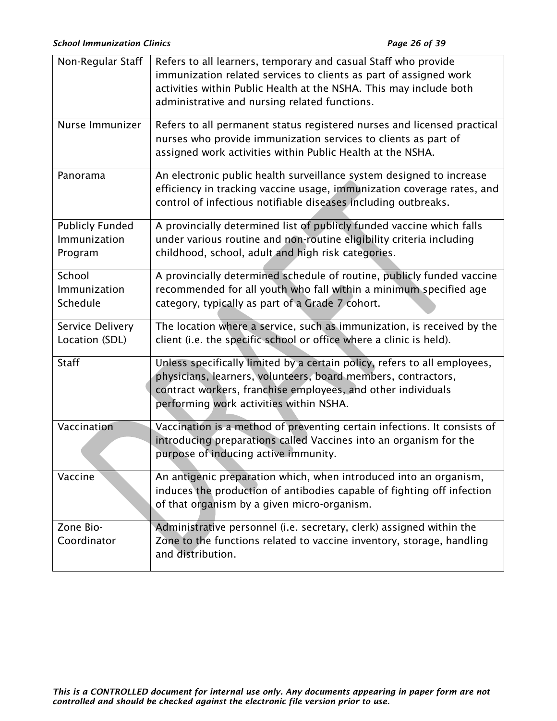| Non-Regular Staff                                 | Refers to all learners, temporary and casual Staff who provide<br>immunization related services to clients as part of assigned work<br>activities within Public Health at the NSHA. This may include both<br>administrative and nursing related functions. |
|---------------------------------------------------|------------------------------------------------------------------------------------------------------------------------------------------------------------------------------------------------------------------------------------------------------------|
| Nurse Immunizer                                   | Refers to all permanent status registered nurses and licensed practical<br>nurses who provide immunization services to clients as part of<br>assigned work activities within Public Health at the NSHA.                                                    |
| Panorama                                          | An electronic public health surveillance system designed to increase<br>efficiency in tracking vaccine usage, immunization coverage rates, and<br>control of infectious notifiable diseases including outbreaks.                                           |
| <b>Publicly Funded</b><br>Immunization<br>Program | A provincially determined list of publicly funded vaccine which falls<br>under various routine and non-routine eligibility criteria including<br>childhood, school, adult and high risk categories.                                                        |
| School<br>Immunization<br>Schedule                | A provincially determined schedule of routine, publicly funded vaccine<br>recommended for all youth who fall within a minimum specified age<br>category, typically as part of a Grade 7 cohort.                                                            |
| Service Delivery<br>Location (SDL)                | The location where a service, such as immunization, is received by the<br>client (i.e. the specific school or office where a clinic is held).                                                                                                              |
| <b>Staff</b>                                      | Unless specifically limited by a certain policy, refers to all employees,<br>physicians, learners, volunteers, board members, contractors,<br>contract workers, franchise employees, and other individuals<br>performing work activities within NSHA.      |
| Vaccination                                       | Vaccination is a method of preventing certain infections. It consists of<br>introducing preparations called Vaccines into an organism for the<br>purpose of inducing active immunity.                                                                      |
| Vaccine                                           | An antigenic preparation which, when introduced into an organism,<br>induces the production of antibodies capable of fighting off infection<br>of that organism by a given micro-organism.                                                                 |
| Zone Bio-<br>Coordinator                          | Administrative personnel (i.e. secretary, clerk) assigned within the<br>Zone to the functions related to vaccine inventory, storage, handling<br>and distribution.                                                                                         |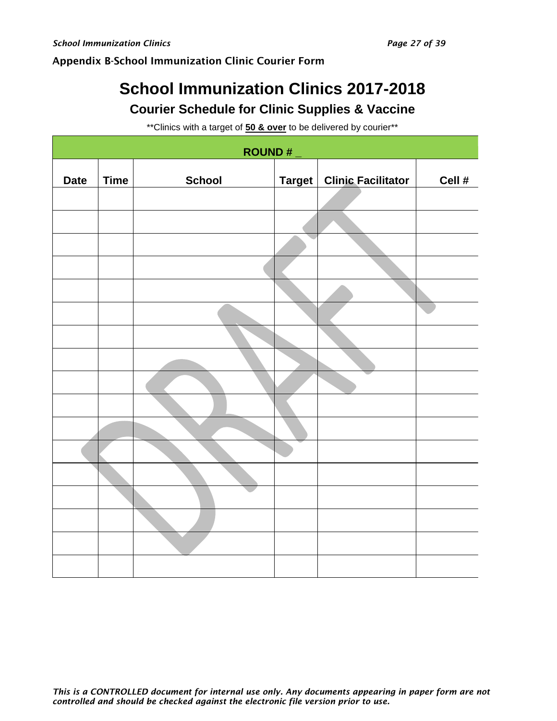# <span id="page-26-0"></span>Appendix B-School Immunization Clinic Courier Form

# **School Immunization Clinics 2017-2018 Courier Schedule for Clinic Supplies & Vaccine**

\*\*Clinics with a target of **50 & over** to be delivered by courier\*\*

| ROUND#      |             |               |  |                             |        |
|-------------|-------------|---------------|--|-----------------------------|--------|
| <b>Date</b> | <b>Time</b> | <b>School</b> |  | Target   Clinic Facilitator | Cell # |
|             |             |               |  |                             |        |
|             |             |               |  |                             |        |
|             |             |               |  |                             |        |
|             |             |               |  |                             |        |
|             |             |               |  |                             |        |
|             |             |               |  |                             |        |
|             |             |               |  |                             |        |
|             |             |               |  |                             |        |
|             |             |               |  |                             |        |
|             |             |               |  |                             |        |
|             |             |               |  |                             |        |
|             |             |               |  |                             |        |
|             |             |               |  |                             |        |
|             |             |               |  |                             |        |
|             |             |               |  |                             |        |
|             |             |               |  |                             |        |
|             |             |               |  |                             |        |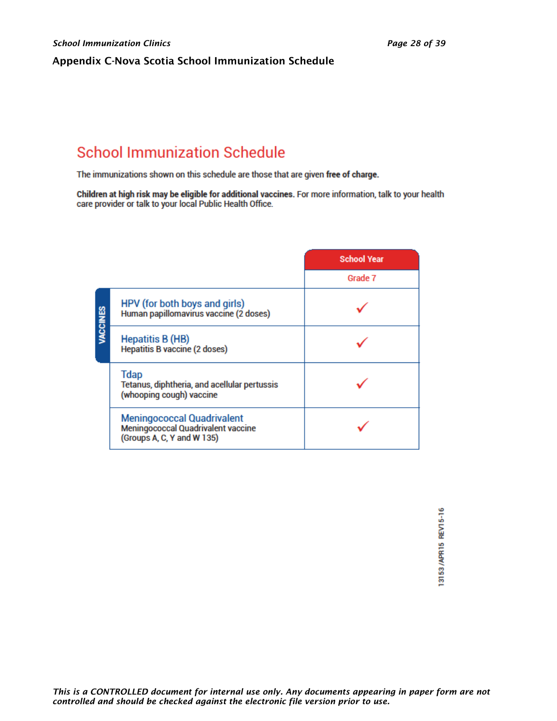### <span id="page-27-0"></span>Appendix C-Nova Scotia School Immunization Schedule

# **School Immunization Schedule**

The immunizations shown on this schedule are those that are given free of charge.

Children at high risk may be eligible for additional vaccines. For more information, talk to your health care provider or talk to your local Public Health Office.

|                                                                                                       | <b>School Year</b> |
|-------------------------------------------------------------------------------------------------------|--------------------|
|                                                                                                       | Grade 7            |
| HPV (for both boys and girls)<br>VACCINES<br>Human papillomavirus vaccine (2 doses)                   |                    |
| <b>Hepatitis B (HB)</b><br><b>Hepatitis B vaccine (2 doses)</b>                                       |                    |
| <b>Tdap</b><br>Tetanus, diphtheria, and acellular pertussis<br>(whooping cough) vaccine               |                    |
| <b>Meningococcal Quadrivalent</b><br>Meningococcal Quadrivalent vaccine<br>(Groups A, C, Y and W 135) |                    |

13153/APR15 REV15-16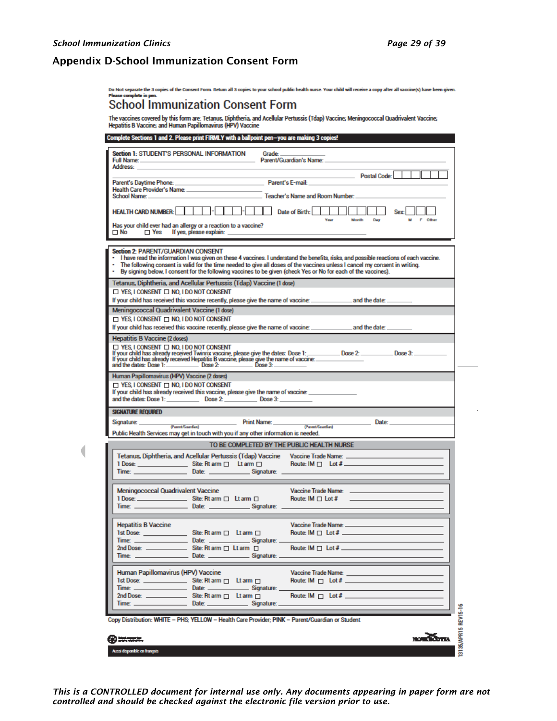$\overline{\mathcal{L}}$ 

#### <span id="page-28-0"></span>Appendix D-School Immunization Consent Form

Do Not separate the 3 copies of the Consent Form. Return all 3 copies to your school public health nurse. Your child will receive a copy after all vaccine(s) have been given.

 $\sim$ 

## **School Immunization Consent Form**

Complete Sections 1 and 2. Bloose print EIBM V with a hallpoint par

The vaccines covered by this form are: Tetanus, Diphtheria, and Acellular Pertussis (Tdap) Vaccine; Meningococcal Quadrivalent Vaccine;<br>Hepatitis B Vaccine; and Human Papillomavirus (HPV) Vaccine

| Address: <b>Address:</b>                                                           | Section 1: STUDENT'S PERSONAL INFORMATION<br>Full Name: Contract of the Contract of Contract of Contract Contract of Contract of Contract of Contract of Contract of Contract of Contract of Contract of Contract of Contract of Contract of Contract of Contract of Contra                                                                                                               | Grade                                 |                                                                                                                                                                                                                                |           |                 |
|------------------------------------------------------------------------------------|-------------------------------------------------------------------------------------------------------------------------------------------------------------------------------------------------------------------------------------------------------------------------------------------------------------------------------------------------------------------------------------------|---------------------------------------|--------------------------------------------------------------------------------------------------------------------------------------------------------------------------------------------------------------------------------|-----------|-----------------|
|                                                                                    |                                                                                                                                                                                                                                                                                                                                                                                           |                                       | Postal Code:                                                                                                                                                                                                                   |           |                 |
| Parent's Daytime Phone:                                                            | <b>Parent's E-mail: Parent's E-mail:</b>                                                                                                                                                                                                                                                                                                                                                  |                                       |                                                                                                                                                                                                                                |           |                 |
|                                                                                    | Health Care Provider's Name: North American Care and Care and Care and Care and Care and Care and Care and Care and Care and Care and Care and Care and Care and Care and Care and Care and Care and Care and Care and Care an                                                                                                                                                            |                                       |                                                                                                                                                                                                                                |           |                 |
| School Name: <b>School Name:</b>                                                   |                                                                                                                                                                                                                                                                                                                                                                                           |                                       | <b>Example 2018</b> Teacher's Name and Room Number:                                                                                                                                                                            |           |                 |
| HEALTH CARD NUMBER:        -                                                       |                                                                                                                                                                                                                                                                                                                                                                                           | $\Gamma$ . $\Gamma$ $\Gamma$ $\Gamma$ | Date of Birth:                   Sex:    <br>Year and                                                                                                                                                                          | Month Day | M F Other       |
|                                                                                    | Has your child ever had an allergy or a reaction to a vaccine?<br>$\Box$ No $\Box$ Yes If yes, please explain: $\Box$                                                                                                                                                                                                                                                                     |                                       |                                                                                                                                                                                                                                |           |                 |
| Section 2: PARENT/GUARDIAN CONSENT                                                 |                                                                                                                                                                                                                                                                                                                                                                                           |                                       |                                                                                                                                                                                                                                |           |                 |
|                                                                                    | - I have read the information I was given on these 4 vaccines. I understand the benefits, risks, and possible reactions of each vaccine.<br>The following consent is valid for the time needed to give all doses of the vaccines unless I cancel my consent in writing.<br>By signing below, I consent for the following vaccines to be given (check Yes or No for each of the vaccines). |                                       |                                                                                                                                                                                                                                |           |                 |
|                                                                                    | Tetanus, Diphtheria, and Acellular Pertussis (Tdap) Vaccine (1 dose)                                                                                                                                                                                                                                                                                                                      |                                       |                                                                                                                                                                                                                                |           |                 |
| $\Box$ Yes. I consent $\Box$ No. I do not consent                                  |                                                                                                                                                                                                                                                                                                                                                                                           |                                       |                                                                                                                                                                                                                                |           |                 |
|                                                                                    | If your child has received this vaccine recently, please give the name of vaccine: ________________ and the date: __________                                                                                                                                                                                                                                                              |                                       |                                                                                                                                                                                                                                |           |                 |
|                                                                                    | Meningococcal Quadrivalent Vaccine (1 dose)                                                                                                                                                                                                                                                                                                                                               |                                       |                                                                                                                                                                                                                                |           |                 |
| $\Box$ YES, I CONSENT $\Box$ No, I DO NOT CONSENT                                  |                                                                                                                                                                                                                                                                                                                                                                                           |                                       |                                                                                                                                                                                                                                |           |                 |
|                                                                                    |                                                                                                                                                                                                                                                                                                                                                                                           |                                       |                                                                                                                                                                                                                                |           |                 |
| Hepatitis B Vaccine (2 doses)<br>$\Box$ Yes. I consent $\Box$ No. I do not consent | If your child has already received Twinnx vaccine, please give the dates: Dose 1: ___________ Dose 2: ___________ Dose 3: ____________<br>If your child has already received Hepatitis B vaccine, please give the name of vaccine:                                                                                                                                                        |                                       |                                                                                                                                                                                                                                |           |                 |
|                                                                                    |                                                                                                                                                                                                                                                                                                                                                                                           |                                       |                                                                                                                                                                                                                                |           |                 |
| $\Box$ Yes, I consent $\Box$ No, I do not consent                                  | If your child has already received this vaccine, please give the name of vaccine: _________________<br>and the dates: Dose 1: Nose 2: Nose 2: Nose 3: Nose 3: Nose 3: Nose 3: Nose 3: Nose 3: Nose 3: Nose 3: Nose 3: Nose 3: Nose 3: Nose 3: Nose 3: Nose 3: Nose 3: Nose 3: Nose 3: Nose 3: Nose 3: Nose 3: Nose 3: Nose 3: Nose 3:                                                     |                                       |                                                                                                                                                                                                                                |           |                 |
| <b>SIGNATURE REQUIRED</b>                                                          |                                                                                                                                                                                                                                                                                                                                                                                           |                                       |                                                                                                                                                                                                                                |           |                 |
|                                                                                    |                                                                                                                                                                                                                                                                                                                                                                                           | <b>Print Name:</b>                    | (Parent/Caardian)                                                                                                                                                                                                              |           |                 |
| Signature: (Parent/Cuardian)                                                       | Public Health Services may get in touch with you if any other information is needed.                                                                                                                                                                                                                                                                                                      |                                       |                                                                                                                                                                                                                                |           |                 |
|                                                                                    |                                                                                                                                                                                                                                                                                                                                                                                           |                                       | TO BE COMPLETED BY THE PUBLIC HEALTH NURSE                                                                                                                                                                                     |           |                 |
|                                                                                    |                                                                                                                                                                                                                                                                                                                                                                                           |                                       |                                                                                                                                                                                                                                |           |                 |
|                                                                                    | Tetanus, Diphtheria, and Acellular Pertussis (Tdap) Vaccine Vaccine Trade Name: [1988] [1988] [1988] [1989] [1<br>1 Dose: ____________________Site: Rt arm □ Lt arm □ Route: IM □ Lot # _____________________________                                                                                                                                                                     |                                       |                                                                                                                                                                                                                                |           |                 |
|                                                                                    | Time: Date: Date: Signature:                                                                                                                                                                                                                                                                                                                                                              |                                       |                                                                                                                                                                                                                                |           |                 |
|                                                                                    |                                                                                                                                                                                                                                                                                                                                                                                           |                                       |                                                                                                                                                                                                                                |           |                 |
| <b>Meningococcal Quadrivalent Vaccine</b>                                          | 1 Dose: _________________________Site: Rt arm □ Lt arm □ Noute: IM □ Lot # _________                                                                                                                                                                                                                                                                                                      |                                       | Vaccine Trade Name: Name: Name of the Contract of the Contract of the Contract of the Contract of the Contract of the Contract of the Contract of the Contract of the Contract of the Contract of the Contract of the Contract |           |                 |
|                                                                                    | Time: Contact Contact Date: Contact Contact Signature: Contact Contact Contact Contact Contact Contact Contact Contact Contact Contact Contact Contact Contact Contact Contact Contact Contact Contact Contact Contact Contact                                                                                                                                                            |                                       |                                                                                                                                                                                                                                |           |                 |
|                                                                                    |                                                                                                                                                                                                                                                                                                                                                                                           |                                       |                                                                                                                                                                                                                                |           |                 |
| <b>Hepatitis B Vaccine</b>                                                         |                                                                                                                                                                                                                                                                                                                                                                                           |                                       |                                                                                                                                                                                                                                |           |                 |
|                                                                                    | 1st Dose: ___________________Site: Rt arm □ Lt arm □ Route: IM □ Lot # ____________________________                                                                                                                                                                                                                                                                                       |                                       |                                                                                                                                                                                                                                |           |                 |
| 2nd Dose: -                                                                        |                                                                                                                                                                                                                                                                                                                                                                                           |                                       |                                                                                                                                                                                                                                |           |                 |
|                                                                                    |                                                                                                                                                                                                                                                                                                                                                                                           |                                       |                                                                                                                                                                                                                                |           |                 |
|                                                                                    |                                                                                                                                                                                                                                                                                                                                                                                           |                                       |                                                                                                                                                                                                                                |           |                 |
| Human Papillomavirus (HPV) Vaccine                                                 |                                                                                                                                                                                                                                                                                                                                                                                           |                                       | Vaccine Trade Name: Vaccine Trade Name:                                                                                                                                                                                        |           |                 |
|                                                                                    | $1st \, \text{Dose:} \quad \text{Site:} \, \text{Rt arm} \quad \Box \quad \text{Lt arm} \Box$                                                                                                                                                                                                                                                                                             |                                       | Route: $IM \sqcap$ Lot $#$                                                                                                                                                                                                     |           |                 |
|                                                                                    |                                                                                                                                                                                                                                                                                                                                                                                           |                                       |                                                                                                                                                                                                                                |           |                 |
|                                                                                    | 2nd Dose: Site: Rt arm [ Lt arm [ ]                                                                                                                                                                                                                                                                                                                                                       |                                       | Route: IM $\Box$ Lot # ______                                                                                                                                                                                                  |           |                 |
|                                                                                    | Time: ___________________________Date: _________________Signature: _____________                                                                                                                                                                                                                                                                                                          |                                       |                                                                                                                                                                                                                                |           |                 |
|                                                                                    |                                                                                                                                                                                                                                                                                                                                                                                           |                                       |                                                                                                                                                                                                                                |           |                 |
|                                                                                    | Copy Distribution: WHITE - PHS; YELLOW - Health Care Provider; PINK - Parent/Guardian or Student                                                                                                                                                                                                                                                                                          |                                       |                                                                                                                                                                                                                                |           |                 |
| @***                                                                               |                                                                                                                                                                                                                                                                                                                                                                                           |                                       |                                                                                                                                                                                                                                |           | <b>NORTHOTA</b> |

*This is a CONTROLLED document for internal use only. Any documents appearing in paper form are not controlled and should be checked against the electronic file version prior to use.*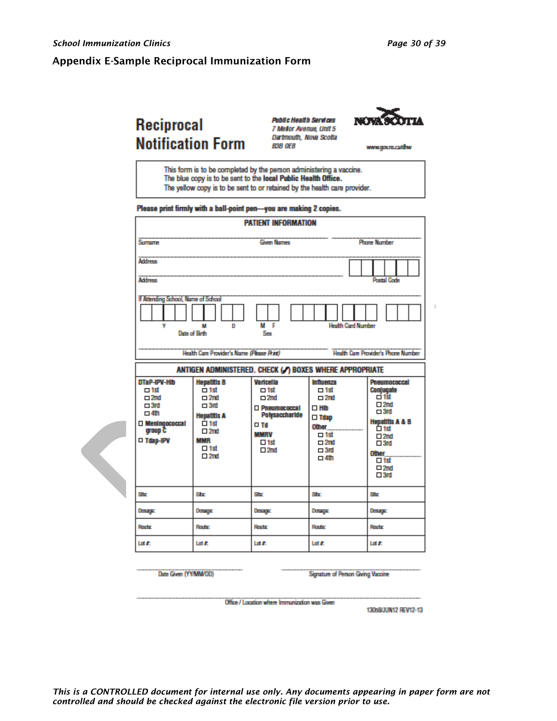#### <span id="page-29-0"></span>Appendix E-Sample Reciprocal Immunization Form

# Reciprocal **Notification Form**

**Public Health Services** 7 Mellor Avenue, Unit 5 Dartmouth, Nova Scotta **B3B OE8** 



www.gov.ns.ca/dhw

- This form is to be completed by the person administering a vaccine. The blue copy is to be sent to the local Public Health Office.
- The yellow copy is to be sent to or retained by the health care provider.

#### Please print firmly with a ball-point pen-you are making 2 copies.

|                                                                                                                                | <b>PATIENT INFORMATION</b>                                                                                                                                               |                                                                                                                                         |                                                                                                                                                 |                                                                                                                                                                                                                    |  |  |
|--------------------------------------------------------------------------------------------------------------------------------|--------------------------------------------------------------------------------------------------------------------------------------------------------------------------|-----------------------------------------------------------------------------------------------------------------------------------------|-------------------------------------------------------------------------------------------------------------------------------------------------|--------------------------------------------------------------------------------------------------------------------------------------------------------------------------------------------------------------------|--|--|
| Surrame                                                                                                                        |                                                                                                                                                                          | <b>Given Names</b>                                                                                                                      |                                                                                                                                                 | <b>Phone Number</b>                                                                                                                                                                                                |  |  |
| <b>Address</b>                                                                                                                 |                                                                                                                                                                          |                                                                                                                                         |                                                                                                                                                 |                                                                                                                                                                                                                    |  |  |
| <b>Address</b>                                                                                                                 |                                                                                                                                                                          |                                                                                                                                         |                                                                                                                                                 | Postal Code                                                                                                                                                                                                        |  |  |
| If Attending School, Name of School                                                                                            | D<br>Date of Birth<br>Health Care Provider's Name (Please Rint)                                                                                                          | г<br>м<br>Sex                                                                                                                           | <b>Health Card Number</b>                                                                                                                       | <b>Health Care Provider's Phone Number</b>                                                                                                                                                                         |  |  |
|                                                                                                                                | ANTIGEN ADMINISTERED. CHECK (.) BOXES WHERE APPROPRIATE                                                                                                                  |                                                                                                                                         |                                                                                                                                                 |                                                                                                                                                                                                                    |  |  |
| DTaP-IPV-HID<br>$\Box$ 1st<br>$\square$ 2nd<br>$\square$ 3rd<br>$\Box$ 4th<br>$\square$ Meningococcal<br>group C<br>□ Tdap-IPV | <b>Hepatitis B</b><br>$-1st$<br>$\square$ 2nd<br>$\Box 3rd$<br><b>Hepatitis A</b><br>$\overline{\Box}$ 1st<br>$\square$ 2nd<br><b>MMR</b><br>$\Box$ 1st<br>$\square$ 2nd | Varicella<br>$\Box$ 1st<br>$\square$ 2nd<br>□ Pneumococcal<br>Polysaccharide<br>$\Box$ Td<br><b>MMRV</b><br>$\Box$ 1st<br>$\square$ 2nd | Influenza<br>$\Box$ 1st<br>$\square$ 2nd<br>$\square$ Hib<br>$\square$ Tdap<br>Other<br>$\Box$ 1st<br>$\square$ 2nd<br>$\Box$ 3rd<br>$\Box$ 4th | <b>Pneumococcal</b><br>Conjugate<br>of fst<br>$\square 2nd$<br>$\square$ 3rd<br><b>Hepatitis A &amp; B</b><br>亡 1st<br>$\square 2nd$<br>$\square$ 3rd<br><b>Other</b><br>$\Box$ 1st<br>$\Box 2nd$<br>$\square$ 3rd |  |  |
| Siter                                                                                                                          | Ster                                                                                                                                                                     | Site                                                                                                                                    | Siter                                                                                                                                           | Site                                                                                                                                                                                                               |  |  |
| Dosaga:                                                                                                                        | Dorage                                                                                                                                                                   | Dosage                                                                                                                                  | Dorage                                                                                                                                          | <b>Dosaga:</b>                                                                                                                                                                                                     |  |  |
| Route                                                                                                                          | Route:                                                                                                                                                                   | Route                                                                                                                                   | <b>Route:</b>                                                                                                                                   | Route                                                                                                                                                                                                              |  |  |
| Lot #:                                                                                                                         | Lotifi                                                                                                                                                                   | Lot #:                                                                                                                                  | Lotifi                                                                                                                                          | Lot #:                                                                                                                                                                                                             |  |  |

Date Given (YY/MM/DD)

Signature of Person Giving Vaccine

Office / Location where Immunization was Given

130s8/JUN12 REV12-13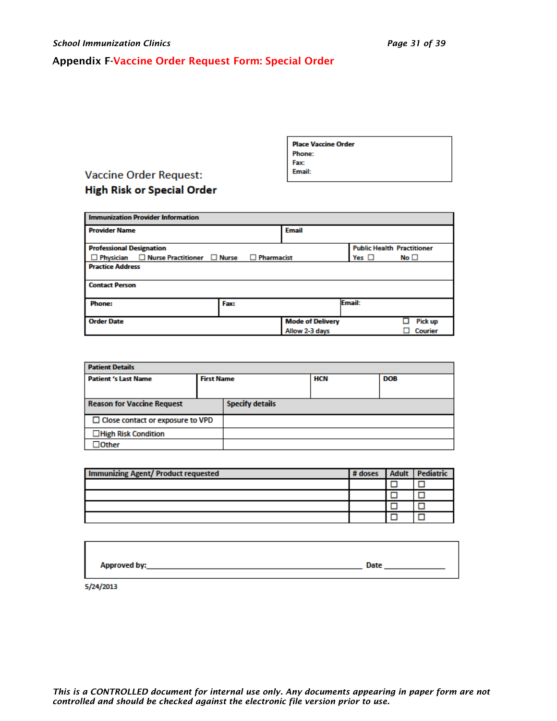# <span id="page-30-0"></span>Appendix F-Vaccine Order Request Form: Special Order

| <b>Phone:</b> |
|---------------|
| Fax:          |
| <b>Email:</b> |
|               |

**Place Vaccine Order** 

# **Vaccine Order Request: High Risk or Special Order**

| <b>Immunization Provider Information</b>                   |                   |                         |                                   |           |  |  |
|------------------------------------------------------------|-------------------|-------------------------|-----------------------------------|-----------|--|--|
| <b>Provider Name</b>                                       |                   | <b>Email</b>            |                                   |           |  |  |
| <b>Professional Designation</b>                            |                   |                         | <b>Public Health Practitioner</b> |           |  |  |
| $\Box$ Nurse Practitioner $\Box$ Nurse<br>$\Box$ Physician | $\Box$ Pharmacist |                         | Yes $\Box$                        | $No \Box$ |  |  |
| <b>Practice Address</b>                                    |                   |                         |                                   |           |  |  |
| <b>Contact Person</b>                                      |                   |                         |                                   |           |  |  |
| <b>Phone:</b>                                              | Fax:              |                         | Email:                            |           |  |  |
| <b>Order Date</b>                                          |                   | <b>Mode of Delivery</b> |                                   | Pick up   |  |  |
|                                                            |                   | Allow 2-3 days          |                                   | Courier   |  |  |

| <b>Patient Details</b>                  |                   |                        |            |            |  |
|-----------------------------------------|-------------------|------------------------|------------|------------|--|
| <b>Patient 's Last Name</b>             | <b>First Name</b> |                        | <b>HCN</b> | <b>DOB</b> |  |
|                                         |                   |                        |            |            |  |
| <b>Reason for Vaccine Request</b>       |                   | <b>Specify details</b> |            |            |  |
| $\Box$ Close contact or exposure to VPD |                   |                        |            |            |  |
| □High Risk Condition                    |                   |                        |            |            |  |
| $J$ Other                               |                   |                        |            |            |  |

| <b>Immunizing Agent/ Product requested</b> | # doses | <b>Adult</b> Pediatric |
|--------------------------------------------|---------|------------------------|
|                                            |         |                        |
|                                            |         |                        |
|                                            |         |                        |
|                                            |         |                        |

5/24/2013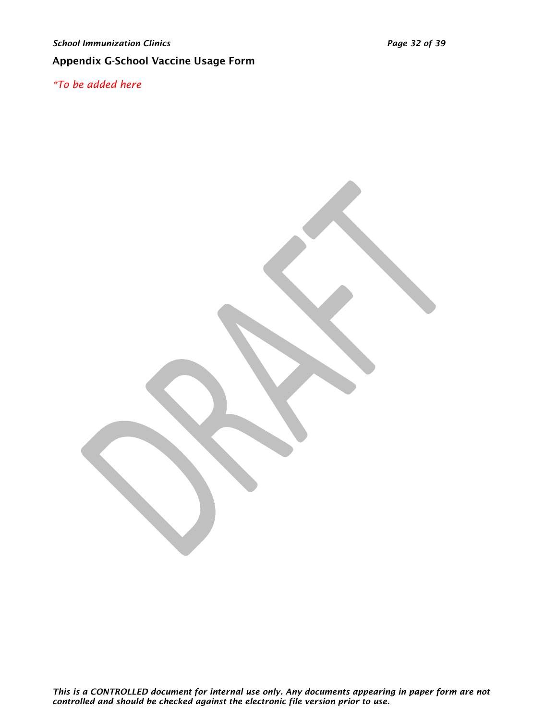# <span id="page-31-0"></span>Appendix G-School Vaccine Usage Form

*\*To be added here*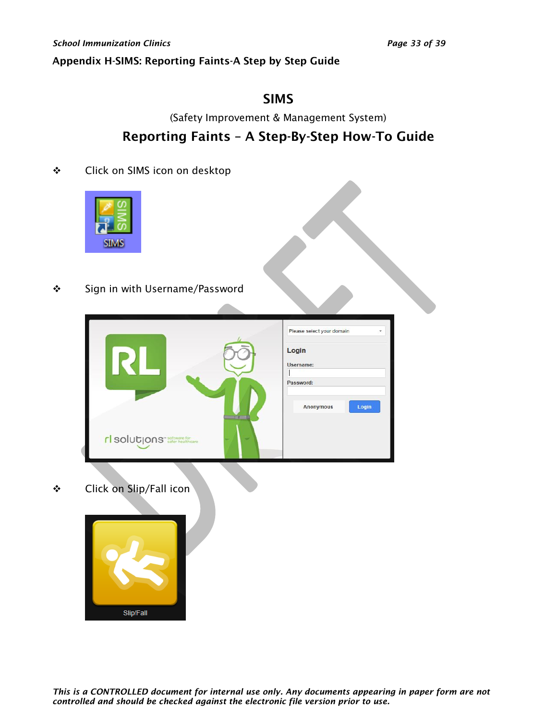### <span id="page-32-0"></span>Appendix H-SIMS: Reporting Faints-A Step by Step Guide

# SIMS

(Safety Improvement & Management System)

# Reporting Faints – A Step-By-Step How-To Guide

❖ Click on SIMS icon on desktop



❖ Sign in with Username/Password

|                                        |   | Please select your domain |
|----------------------------------------|---|---------------------------|
|                                        |   | Login                     |
|                                        |   | Username:                 |
|                                        |   | Password:                 |
|                                        |   | Login<br><b>Anonymous</b> |
|                                        |   |                           |
| rl solutions <sup>- software for</sup> | - |                           |

❖ Click on Slip/Fall icon

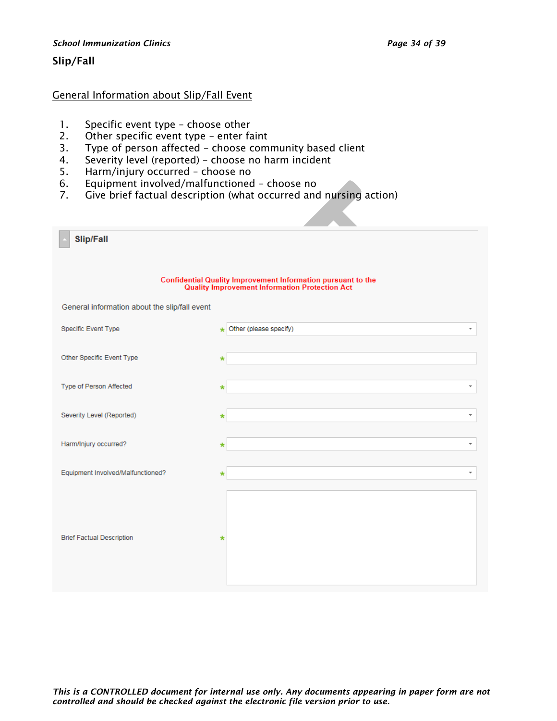#### *School Immunization Clinics Page 34 of 39*

#### Slip/Fall

#### General Information about Slip/Fall Event

- 1. Specific event type choose other
- 2. Other specific event type enter faint
- 3. Type of person affected choose community based client
- 4. Severity level (reported) choose no harm incident
- 5. Harm/injury occurred choose no
- 6. Equipment involved/malfunctioned choose no
- 7. Give brief factual description (what occurred and nursing action)

| <b>Slip/Fall</b>                                                                                                       |                               |  |  |  |
|------------------------------------------------------------------------------------------------------------------------|-------------------------------|--|--|--|
| <b>Confidential Quality Improvement Information pursuant to the<br/>Quality Improvement Information Protection Act</b> |                               |  |  |  |
| General information about the slip/fall event                                                                          |                               |  |  |  |
| Specific Event Type                                                                                                    | to Other (please specify)     |  |  |  |
| Other Specific Event Type                                                                                              | *                             |  |  |  |
| Type of Person Affected                                                                                                | $\overline{\phantom{a}}$<br>* |  |  |  |
| Severity Level (Reported)                                                                                              | $\overline{\phantom{a}}$<br>× |  |  |  |
| Harm/Injury occurred?                                                                                                  | $\overline{\phantom{a}}$<br>∗ |  |  |  |
| Equipment Involved/Malfunctioned?                                                                                      | ÷                             |  |  |  |
| <b>Brief Factual Description</b>                                                                                       | *                             |  |  |  |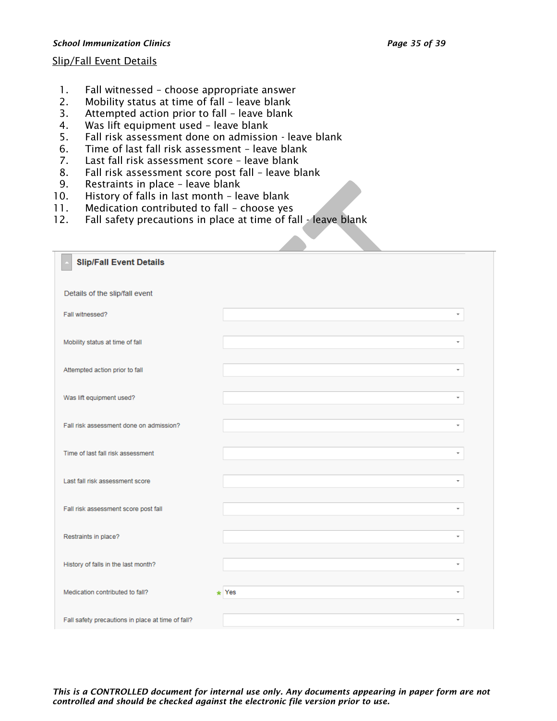#### *School Immunization Clinics Page 35 of 39*

#### Slip/Fall Event Details

- 1. Fall witnessed choose appropriate answer
- 2. Mobility status at time of fall leave blank
- 3. Attempted action prior to fall leave blank
- 4. Was lift equipment used leave blank
- 5. Fall risk assessment done on admission leave blank
- 6. Time of last fall risk assessment leave blank
- 7. Last fall risk assessment score leave blank
- 8. Fall risk assessment score post fall leave blank
- 9. Restraints in place leave blank
- 10. History of falls in last month leave blank
- 11. Medication contributed to fall choose yes
- 12. Fall safety precautions in place at time of fall leave blank

| <b>Slip/Fall Event Details</b><br>Details of the slip/fall event<br>Fall witnessed?<br>÷<br>Mobility status at time of fall<br>÷<br>Attempted action prior to fall<br>$\overline{\phantom{a}}$<br>Was lift equipment used?<br>Fall risk assessment done on admission?<br>÷<br>Time of last fall risk assessment<br>÷<br>Last fall risk assessment score<br>÷<br>Fall risk assessment score post fall<br>Restraints in place?<br>÷<br>History of falls in the last month?<br>÷<br>Medication contributed to fall?<br>$\star$ Yes<br>۰<br>Fall safety precautions in place at time of fall? |  |  |
|-------------------------------------------------------------------------------------------------------------------------------------------------------------------------------------------------------------------------------------------------------------------------------------------------------------------------------------------------------------------------------------------------------------------------------------------------------------------------------------------------------------------------------------------------------------------------------------------|--|--|
|                                                                                                                                                                                                                                                                                                                                                                                                                                                                                                                                                                                           |  |  |
|                                                                                                                                                                                                                                                                                                                                                                                                                                                                                                                                                                                           |  |  |
|                                                                                                                                                                                                                                                                                                                                                                                                                                                                                                                                                                                           |  |  |
|                                                                                                                                                                                                                                                                                                                                                                                                                                                                                                                                                                                           |  |  |
|                                                                                                                                                                                                                                                                                                                                                                                                                                                                                                                                                                                           |  |  |
|                                                                                                                                                                                                                                                                                                                                                                                                                                                                                                                                                                                           |  |  |
|                                                                                                                                                                                                                                                                                                                                                                                                                                                                                                                                                                                           |  |  |
|                                                                                                                                                                                                                                                                                                                                                                                                                                                                                                                                                                                           |  |  |
|                                                                                                                                                                                                                                                                                                                                                                                                                                                                                                                                                                                           |  |  |
|                                                                                                                                                                                                                                                                                                                                                                                                                                                                                                                                                                                           |  |  |
|                                                                                                                                                                                                                                                                                                                                                                                                                                                                                                                                                                                           |  |  |
|                                                                                                                                                                                                                                                                                                                                                                                                                                                                                                                                                                                           |  |  |
|                                                                                                                                                                                                                                                                                                                                                                                                                                                                                                                                                                                           |  |  |
|                                                                                                                                                                                                                                                                                                                                                                                                                                                                                                                                                                                           |  |  |

*This is a CONTROLLED document for internal use only. Any documents appearing in paper form are not controlled and should be checked against the electronic file version prior to use.*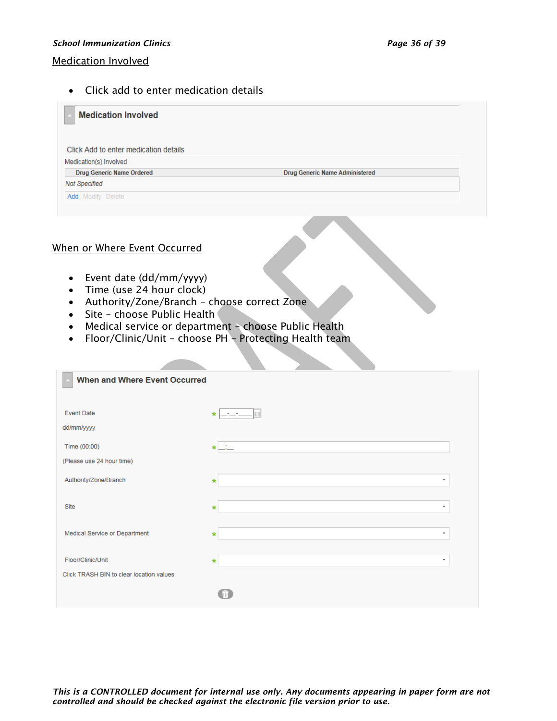#### *School Immunization Clinics Page 36 of 39*

#### Medication Involved

• Click add to enter medication details

| <b>Medication Involved</b>            |                                       |  |
|---------------------------------------|---------------------------------------|--|
| Click Add to enter medication details |                                       |  |
| Medication(s) Involved                |                                       |  |
| <b>Drug Generic Name Ordered</b>      | <b>Drug Generic Name Administered</b> |  |
| <b>Not Specified</b>                  |                                       |  |
| <b>Add</b> Modify Delete              |                                       |  |
|                                       |                                       |  |

#### When or Where Event Occurred

- Event date (dd/mm/yyyy)
- Time (use 24 hour clock)
- Authority/Zone/Branch choose correct Zone
- Site choose Public Health
- Medical service or department choose Public Health
- Floor/Clinic/Unit choose PH Protecting Health team

| <b>When and Where Event Occurred</b>     |                                     |  |
|------------------------------------------|-------------------------------------|--|
|                                          |                                     |  |
|                                          |                                     |  |
| <b>Event Date</b>                        | $\star$                             |  |
| dd/mm/yyyy                               |                                     |  |
| Time (00:00)                             | $\star$ $-$                         |  |
| (Please use 24 hour time)                |                                     |  |
|                                          |                                     |  |
| Authority/Zone/Branch                    | $\overline{\phantom{a}}$<br>$\ast$  |  |
| Site                                     | $\tau$<br>$\star$                   |  |
|                                          |                                     |  |
| Medical Service or Department            | $\overline{\phantom{a}}$<br>$\star$ |  |
|                                          |                                     |  |
| Floor/Clinic/Unit                        | $\overline{\phantom{a}}$<br>$\ast$  |  |
| Click TRASH BIN to clear location values |                                     |  |
|                                          |                                     |  |
|                                          |                                     |  |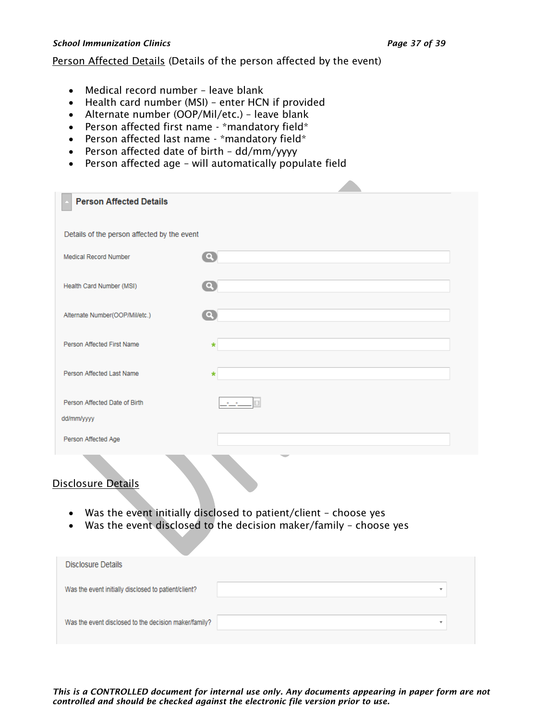#### *School Immunization Clinics Page 37 of 39*

#### Person Affected Details (Details of the person affected by the event)

- Medical record number leave blank
- Health card number (MSI) enter HCN if provided
- Alternate number (OOP/Mil/etc.) leave blank
- Person affected first name \*mandatory field\*
- Person affected last name \*mandatory field\*
- Person affected date of birth dd/mm/yyyy
- Person affected age will automatically populate field

| <b>Person Affected Details</b>              |                          |
|---------------------------------------------|--------------------------|
|                                             |                          |
| Details of the person affected by the event |                          |
| Medical Record Number                       | $\bullet$                |
|                                             |                          |
| Health Card Number (MSI)                    | $\bullet$                |
|                                             |                          |
| Alternate Number(OOP/Mil/etc.)              | $\mathbf{C}$             |
|                                             |                          |
| Person Affected First Name                  | $\star$                  |
|                                             |                          |
| Person Affected Last Name                   | $\ast$                   |
|                                             |                          |
| Person Affected Date of Birth               |                          |
| dd/mm/yyyy                                  |                          |
|                                             |                          |
| Person Affected Age                         |                          |
|                                             | $\overline{\phantom{a}}$ |

## Disclosure Details

- Was the event initially disclosed to patient/client choose yes
- Was the event disclosed to the decision maker/family choose yes

| Disclosure Details                                    |  |
|-------------------------------------------------------|--|
|                                                       |  |
| Was the event initially disclosed to patient/client?  |  |
|                                                       |  |
|                                                       |  |
| Was the event disclosed to the decision maker/family? |  |
|                                                       |  |

*This is a CONTROLLED document for internal use only. Any documents appearing in paper form are not controlled and should be checked against the electronic file version prior to use.*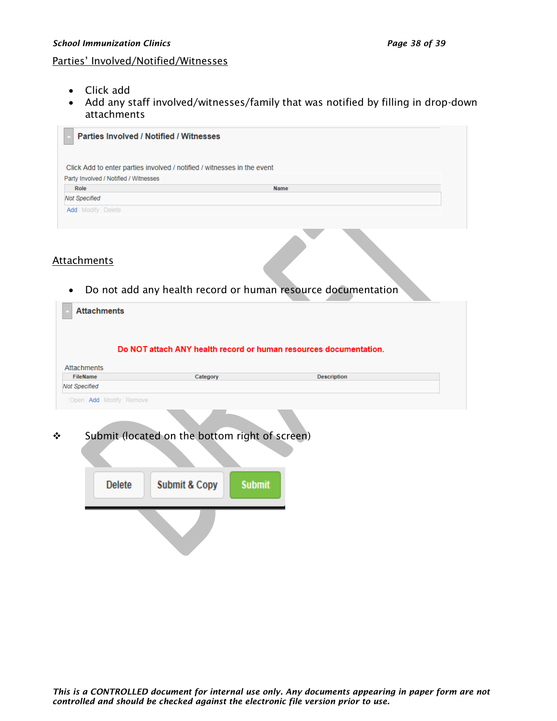#### Parties' Involved/Notified/Witnesses

- Click add
- Add any staff involved/witnesses/family that was notified by filling in drop-down attachments

| <b>Parties Involved / Notified / Witnesses</b> |                                                                         |
|------------------------------------------------|-------------------------------------------------------------------------|
|                                                | Click Add to enter parties involved / notified / witnesses in the event |
| Party Involved / Notified / Witnesses          |                                                                         |
| Role                                           | <b>Name</b>                                                             |
| <b>Not Specified</b>                           |                                                                         |
| <b>Add</b> Modify Delete                       |                                                                         |
|                                                |                                                                         |
|                                                |                                                                         |

#### **Attachments**

• Do not add any health record or human resource documentation

| <b>Attachments</b>                                |                                                                   |                    |
|---------------------------------------------------|-------------------------------------------------------------------|--------------------|
|                                                   |                                                                   |                    |
|                                                   |                                                                   |                    |
|                                                   | Do NOT attach ANY health record or human resources documentation. |                    |
| <b>Attachments</b><br><b>FileName</b><br>Category |                                                                   | <b>Description</b> |
| <b>Not Specified</b>                              |                                                                   |                    |
| Open Add Modify Remove                            |                                                                   |                    |
|                                                   |                                                                   |                    |
|                                                   |                                                                   |                    |
| Submit (located on the bottom right of screen)    |                                                                   |                    |
|                                                   |                                                                   |                    |
|                                                   |                                                                   |                    |
|                                                   |                                                                   |                    |
|                                                   |                                                                   |                    |
|                                                   |                                                                   |                    |
| <b>Submit &amp; Copy</b><br><b>Delete</b>         | <b>Submit</b>                                                     |                    |
|                                                   |                                                                   |                    |
|                                                   |                                                                   |                    |
|                                                   |                                                                   |                    |
|                                                   |                                                                   |                    |